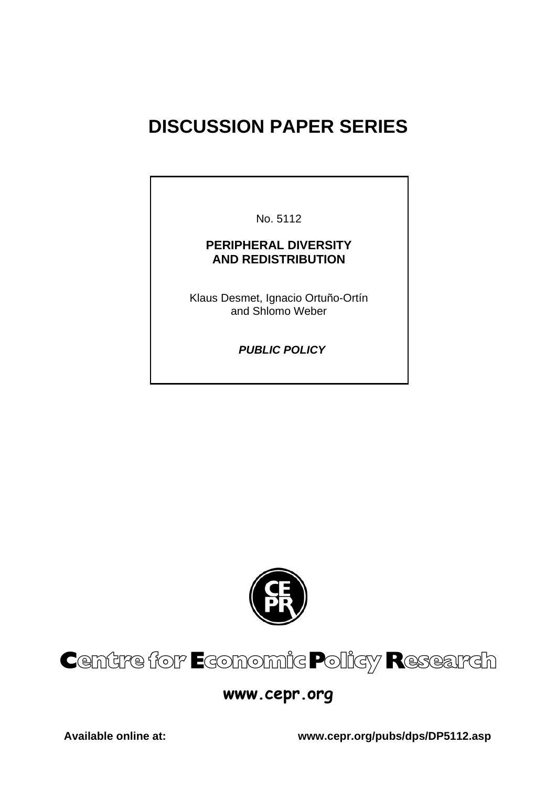# **DISCUSSION PAPER SERIES**

No. 5112

### **PERIPHERAL DIVERSITY AND REDISTRIBUTION**

Klaus Desmet, Ignacio Ortuño-Ortín and Shlomo Weber

 *PUBLIC POLICY* 



# Centre for Economic Policy Research

## **www.cepr.org**

**Available online at: www.cepr.org/pubs/dps/DP5112.asp**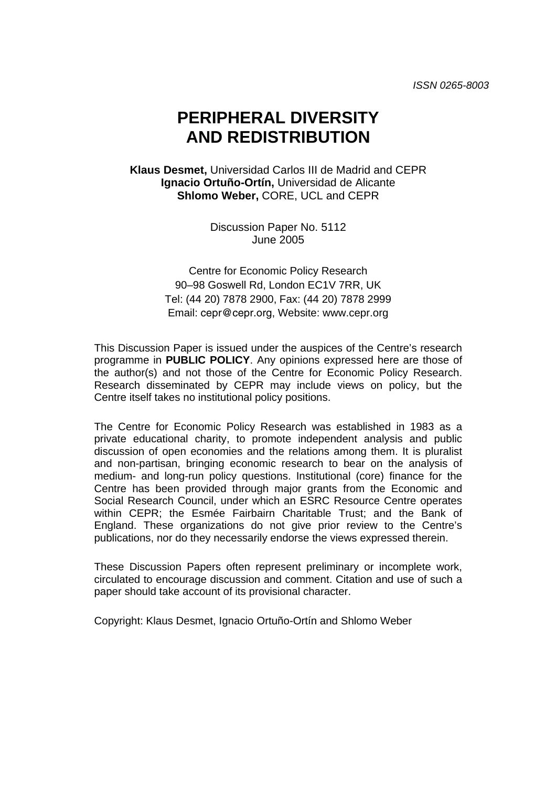*ISSN 0265-8003* 

# **PERIPHERAL DIVERSITY AND REDISTRIBUTION**

**Klaus Desmet,** Universidad Carlos III de Madrid and CEPR **Ignacio Ortuño-Ortín,** Universidad de Alicante **Shlomo Weber,** CORE, UCL and CEPR

> Discussion Paper No. 5112 June 2005

Centre for Economic Policy Research 90–98 Goswell Rd, London EC1V 7RR, UK Tel: (44 20) 7878 2900, Fax: (44 20) 7878 2999 Email: cepr@cepr.org, Website: www.cepr.org

This Discussion Paper is issued under the auspices of the Centre's research programme in **PUBLIC POLICY**. Any opinions expressed here are those of the author(s) and not those of the Centre for Economic Policy Research. Research disseminated by CEPR may include views on policy, but the Centre itself takes no institutional policy positions.

The Centre for Economic Policy Research was established in 1983 as a private educational charity, to promote independent analysis and public discussion of open economies and the relations among them. It is pluralist and non-partisan, bringing economic research to bear on the analysis of medium- and long-run policy questions. Institutional (core) finance for the Centre has been provided through major grants from the Economic and Social Research Council, under which an ESRC Resource Centre operates within CEPR; the Esmée Fairbairn Charitable Trust; and the Bank of England. These organizations do not give prior review to the Centre's publications, nor do they necessarily endorse the views expressed therein.

These Discussion Papers often represent preliminary or incomplete work, circulated to encourage discussion and comment. Citation and use of such a paper should take account of its provisional character.

Copyright: Klaus Desmet, Ignacio Ortuño-Ortín and Shlomo Weber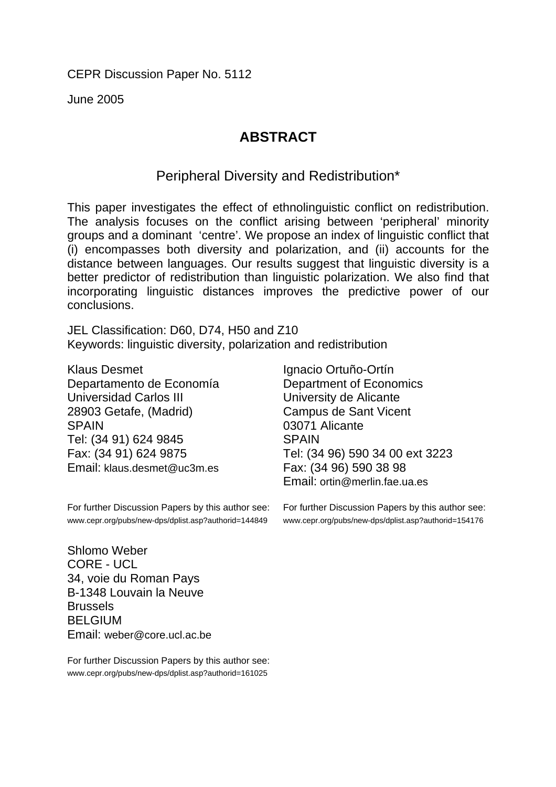CEPR Discussion Paper No. 5112

June 2005

## **ABSTRACT**

Peripheral Diversity and Redistribution\*

This paper investigates the effect of ethnolinguistic conflict on redistribution. The analysis focuses on the conflict arising between 'peripheral' minority groups and a dominant 'centre'. We propose an index of linguistic conflict that (i) encompasses both diversity and polarization, and (ii) accounts for the distance between languages. Our results suggest that linguistic diversity is a better predictor of redistribution than linguistic polarization. We also find that incorporating linguistic distances improves the predictive power of our conclusions.

JEL Classification: D60, D74, H50 and Z10 Keywords: linguistic diversity, polarization and redistribution

Klaus Desmet Departamento de Economía Universidad Carlos III 28903 Getafe, (Madrid) SPAIN Tel: (34 91) 624 9845 Fax: (34 91) 624 9875 Email: klaus.desmet@uc3m.es

For further Discussion Papers by this author see: www.cepr.org/pubs/new-dps/dplist.asp?authorid=144849

Shlomo Weber CORE - UCL 34, voie du Roman Pays B-1348 Louvain la Neuve Brussels BELGIUM Email: weber@core.ucl.ac.be

For further Discussion Papers by this author see: www.cepr.org/pubs/new-dps/dplist.asp?authorid=161025

Ignacio Ortuño-Ortín Department of Economics University de Alicante Campus de Sant Vicent 03071 Alicante **SPAIN** Tel: (34 96) 590 34 00 ext 3223 Fax: (34 96) 590 38 98 Email: ortin@merlin.fae.ua.es

For further Discussion Papers by this author see: www.cepr.org/pubs/new-dps/dplist.asp?authorid=154176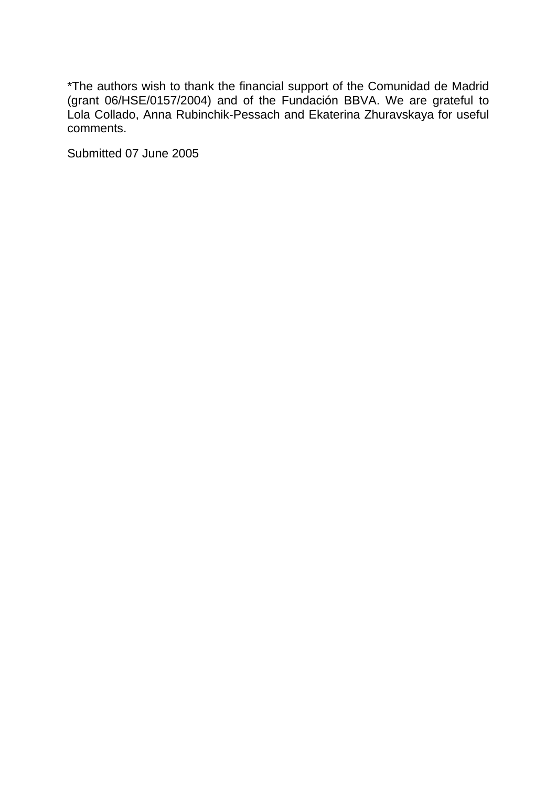\*The authors wish to thank the financial support of the Comunidad de Madrid (grant 06/HSE/0157/2004) and of the Fundación BBVA. We are grateful to Lola Collado, Anna Rubinchik-Pessach and Ekaterina Zhuravskaya for useful comments.

Submitted 07 June 2005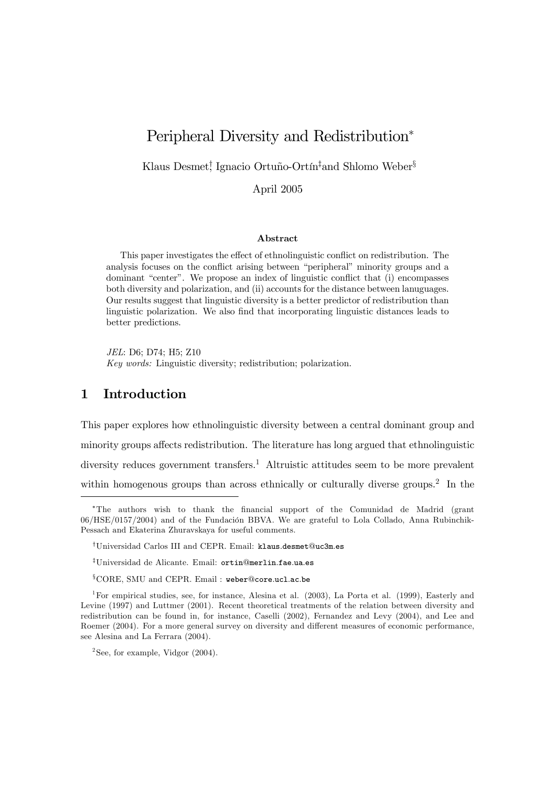### Peripheral Diversity and Redistribution<sup>∗</sup>

Klaus Desmet! Ignacio Ortuño-Ortín<sup>‡</sup>and Shlomo Weber<sup>§</sup>

April 2005

#### Abstract

This paper investigates the effect of ethnolinguistic conflict on redistribution. The analysis focuses on the conflict arising between "peripheral" minority groups and a dominant "center". We propose an index of linguistic conflict that (i) encompasses both diversity and polarization, and (ii) accounts for the distance between lanuguages. Our results suggest that linguistic diversity is a better predictor of redistribution than linguistic polarization. We also find that incorporating linguistic distances leads to better predictions.

JEL: D6; D74; H5; Z10 Key words: Linguistic diversity; redistribution; polarization.

#### 1 Introduction

This paper explores how ethnolinguistic diversity between a central dominant group and minority groups affects redistribution. The literature has long argued that ethnolinguistic diversity reduces government transfers.<sup>1</sup> Altruistic attitudes seem to be more prevalent within homogenous groups than across ethnically or culturally diverse groups.<sup>2</sup> In the

<sup>∗</sup>The authors wish to thank the financial support of the Comunidad de Madrid (grant 06/HSE/0157/2004) and of the Fundación BBVA. We are grateful to Lola Collado, Anna Rubinchik-Pessach and Ekaterina Zhuravskaya for useful comments.

<sup>†</sup>Universidad Carlos III and CEPR. Email: klaus.desmet@uc3m.es

<sup>‡</sup>Universidad de Alicante. Email: ortin@merlin.fae.ua.es

<sup>§</sup>CORE, SMU and CEPR. Email : weber@core.ucl.ac.be

<sup>1</sup>For empirical studies, see, for instance, Alesina et al. (2003), La Porta et al. (1999), Easterly and Levine (1997) and Luttmer (2001). Recent theoretical treatments of the relation between diversity and redistribution can be found in, for instance, Caselli (2002), Fernandez and Levy (2004), and Lee and Roemer (2004). For a more general survey on diversity and different measures of economic performance, see Alesina and La Ferrara (2004).

<sup>&</sup>lt;sup>2</sup>See, for example, Vidgor  $(2004)$ .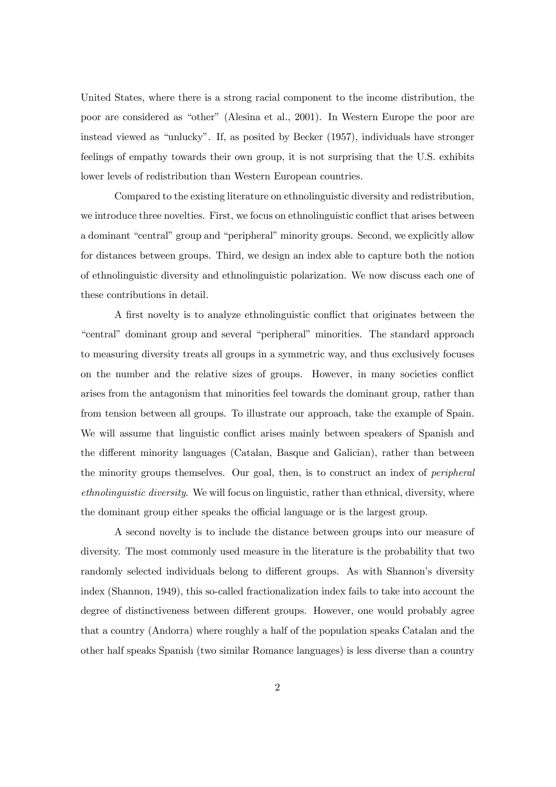United States, where there is a strong racial component to the income distribution, the poor are considered as "other" (Alesina et al., 2001). In Western Europe the poor are instead viewed as "unlucky". If, as posited by Becker (1957), individuals have stronger feelings of empathy towards their own group, it is not surprising that the U.S. exhibits lower levels of redistribution than Western European countries.

Compared to the existing literature on ethnolinguistic diversity and redistribution, we introduce three novelties. First, we focus on ethnolinguistic conflict that arises between a dominant "central" group and "peripheral" minority groups. Second, we explicitly allow for distances between groups. Third, we design an index able to capture both the notion of ethnolinguistic diversity and ethnolinguistic polarization. We now discuss each one of these contributions in detail.

A first novelty is to analyze ethnolinguistic conflict that originates between the "central" dominant group and several "peripheral" minorities. The standard approach to measuring diversity treats all groups in a symmetric way, and thus exclusively focuses on the number and the relative sizes of groups. However, in many societies conflict arises from the antagonism that minorities feel towards the dominant group, rather than from tension between all groups. To illustrate our approach, take the example of Spain. We will assume that linguistic conflict arises mainly between speakers of Spanish and the different minority languages (Catalan, Basque and Galician), rather than between the minority groups themselves. Our goal, then, is to construct an index of peripheral ethnolinguistic diversity. We will focus on linguistic, rather than ethnical, diversity, where the dominant group either speaks the official language or is the largest group.

A second novelty is to include the distance between groups into our measure of diversity. The most commonly used measure in the literature is the probability that two randomly selected individuals belong to different groups. As with Shannon's diversity index (Shannon, 1949), this so-called fractionalization index fails to take into account the degree of distinctiveness between different groups. However, one would probably agree that a country (Andorra) where roughly a half of the population speaks Catalan and the other half speaks Spanish (two similar Romance languages) is less diverse than a country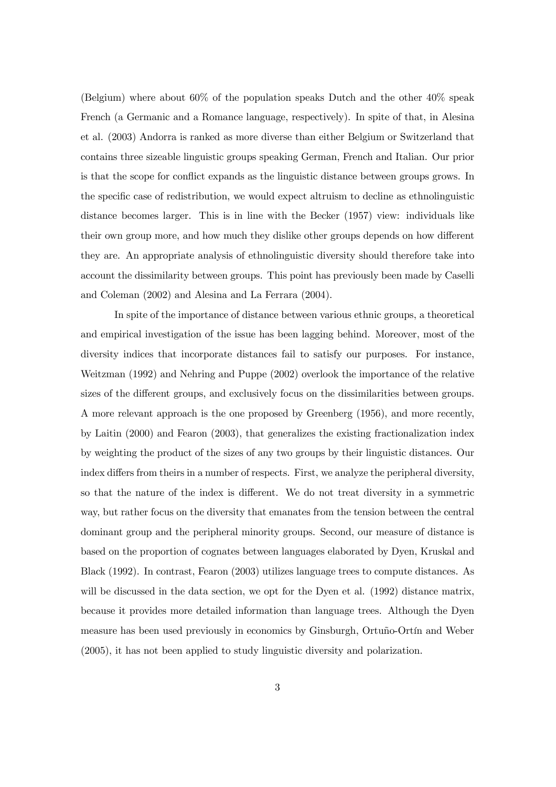(Belgium) where about 60% of the population speaks Dutch and the other 40% speak French (a Germanic and a Romance language, respectively). In spite of that, in Alesina et al. (2003) Andorra is ranked as more diverse than either Belgium or Switzerland that contains three sizeable linguistic groups speaking German, French and Italian. Our prior is that the scope for conflict expands as the linguistic distance between groups grows. In the specific case of redistribution, we would expect altruism to decline as ethnolinguistic distance becomes larger. This is in line with the Becker (1957) view: individuals like their own group more, and how much they dislike other groups depends on how different they are. An appropriate analysis of ethnolinguistic diversity should therefore take into account the dissimilarity between groups. This point has previously been made by Caselli and Coleman (2002) and Alesina and La Ferrara (2004).

In spite of the importance of distance between various ethnic groups, a theoretical and empirical investigation of the issue has been lagging behind. Moreover, most of the diversity indices that incorporate distances fail to satisfy our purposes. For instance, Weitzman (1992) and Nehring and Puppe (2002) overlook the importance of the relative sizes of the different groups, and exclusively focus on the dissimilarities between groups. A more relevant approach is the one proposed by Greenberg (1956), and more recently, by Laitin (2000) and Fearon (2003), that generalizes the existing fractionalization index by weighting the product of the sizes of any two groups by their linguistic distances. Our index differs from theirs in a number of respects. First, we analyze the peripheral diversity, so that the nature of the index is different. We do not treat diversity in a symmetric way, but rather focus on the diversity that emanates from the tension between the central dominant group and the peripheral minority groups. Second, our measure of distance is based on the proportion of cognates between languages elaborated by Dyen, Kruskal and Black (1992). In contrast, Fearon (2003) utilizes language trees to compute distances. As will be discussed in the data section, we opt for the Dyen et al.  $(1992)$  distance matrix, because it provides more detailed information than language trees. Although the Dyen measure has been used previously in economics by Ginsburgh, Ortuño-Ortín and Weber (2005), it has not been applied to study linguistic diversity and polarization.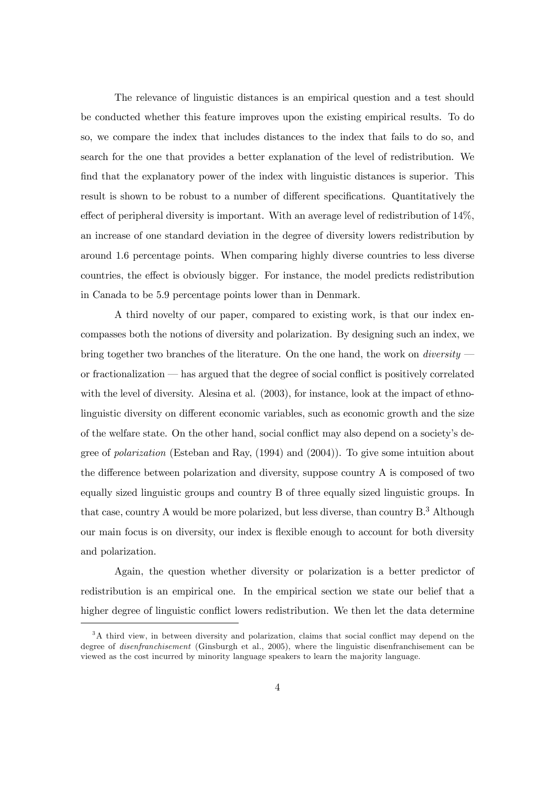The relevance of linguistic distances is an empirical question and a test should be conducted whether this feature improves upon the existing empirical results. To do so, we compare the index that includes distances to the index that fails to do so, and search for the one that provides a better explanation of the level of redistribution. We find that the explanatory power of the index with linguistic distances is superior. This result is shown to be robust to a number of different specifications. Quantitatively the effect of peripheral diversity is important. With an average level of redistribution of 14%, an increase of one standard deviation in the degree of diversity lowers redistribution by around 1.6 percentage points. When comparing highly diverse countries to less diverse countries, the effect is obviously bigger. For instance, the model predicts redistribution in Canada to be 5.9 percentage points lower than in Denmark.

A third novelty of our paper, compared to existing work, is that our index encompasses both the notions of diversity and polarization. By designing such an index, we bring together two branches of the literature. On the one hand, the work on *diversity* or fractionalization – has argued that the degree of social conflict is positively correlated with the level of diversity. Alesina et al.  $(2003)$ , for instance, look at the impact of ethnolinguistic diversity on different economic variables, such as economic growth and the size of the welfare state. On the other hand, social conflict may also depend on a society's degree of polarization (Esteban and Ray, (1994) and (2004)). To give some intuition about the difference between polarization and diversity, suppose country A is composed of two equally sized linguistic groups and country B of three equally sized linguistic groups. In that case, country A would be more polarized, but less diverse, than country B.3 Although our main focus is on diversity, our index is flexible enough to account for both diversity and polarization.

Again, the question whether diversity or polarization is a better predictor of redistribution is an empirical one. In the empirical section we state our belief that a higher degree of linguistic conflict lowers redistribution. We then let the data determine

<sup>&</sup>lt;sup>3</sup>A third view, in between diversity and polarization, claims that social conflict may depend on the degree of disenfranchisement (Ginsburgh et al., 2005), where the linguistic disenfranchisement can be viewed as the cost incurred by minority language speakers to learn the majority language.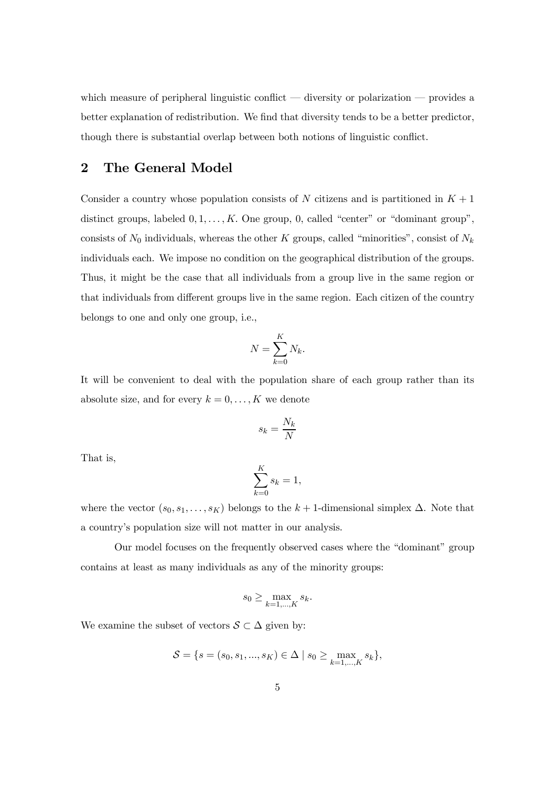which measure of peripheral linguistic conflict — diversity or polarization — provides a better explanation of redistribution. We find that diversity tends to be a better predictor, though there is substantial overlap between both notions of linguistic conflict.

#### 2 The General Model

Consider a country whose population consists of N citizens and is partitioned in  $K + 1$ distinct groups, labeled  $0, 1, \ldots, K$ . One group, 0, called "center" or "dominant group", consists of  $N_0$  individuals, whereas the other K groups, called "minorities", consist of  $N_k$ individuals each. We impose no condition on the geographical distribution of the groups. Thus, it might be the case that all individuals from a group live in the same region or that individuals from different groups live in the same region. Each citizen of the country belongs to one and only one group, i.e.,

$$
N = \sum_{k=0}^{K} N_k.
$$

It will be convenient to deal with the population share of each group rather than its absolute size, and for every  $k = 0, \ldots, K$  we denote

$$
s_k = \frac{N_k}{N}
$$

That is,

$$
\sum_{k=0}^{K} s_k = 1,
$$

where the vector  $(s_0, s_1, \ldots, s_K)$  belongs to the k + 1-dimensional simplex  $\Delta$ . Note that a country's population size will not matter in our analysis.

Our model focuses on the frequently observed cases where the "dominant" group contains at least as many individuals as any of the minority groups:

$$
s_0 \ge \max_{k=1,\dots,K} s_k.
$$

We examine the subset of vectors  $S \subset \Delta$  given by:

$$
S = \{s = (s_0, s_1, ..., s_K) \in \Delta \mid s_0 \ge \max_{k=1,...,K} s_k\},\
$$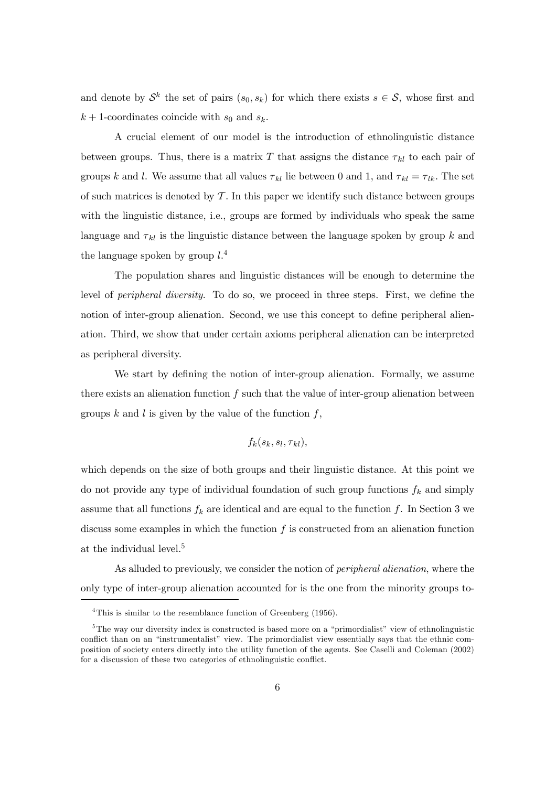and denote by  $\mathcal{S}^k$  the set of pairs  $(s_0, s_k)$  for which there exists  $s \in \mathcal{S}$ , whose first and  $k + 1$ -coordinates coincide with  $s_0$  and  $s_k$ .

A crucial element of our model is the introduction of ethnolinguistic distance between groups. Thus, there is a matrix T that assigns the distance  $\tau_{kl}$  to each pair of groups k and l. We assume that all values  $\tau_{kl}$  lie between 0 and 1, and  $\tau_{kl} = \tau_{lk}$ . The set of such matrices is denoted by  $\mathcal T$ . In this paper we identify such distance between groups with the linguistic distance, i.e., groups are formed by individuals who speak the same language and  $\tau_{kl}$  is the linguistic distance between the language spoken by group k and the language spoken by group  $l^{4}$ .

The population shares and linguistic distances will be enough to determine the level of peripheral diversity. To do so, we proceed in three steps. First, we define the notion of inter-group alienation. Second, we use this concept to define peripheral alienation. Third, we show that under certain axioms peripheral alienation can be interpreted as peripheral diversity.

We start by defining the notion of inter-group alienation. Formally, we assume there exists an alienation function  $f$  such that the value of inter-group alienation between groups  $k$  and  $l$  is given by the value of the function  $f$ ,

$$
f_k(s_k, s_l, \tau_{kl}),
$$

which depends on the size of both groups and their linguistic distance. At this point we do not provide any type of individual foundation of such group functions  $f_k$  and simply assume that all functions  $f_k$  are identical and are equal to the function f. In Section 3 we discuss some examples in which the function  $f$  is constructed from an alienation function at the individual level.<sup>5</sup>

As alluded to previously, we consider the notion of peripheral alienation, where the only type of inter-group alienation accounted for is the one from the minority groups to-

<sup>&</sup>lt;sup>4</sup>This is similar to the resemblance function of Greenberg (1956).

<sup>&</sup>lt;sup>5</sup>The way our diversity index is constructed is based more on a "primordialist" view of ethnolinguistic conflict than on an "instrumentalist" view. The primordialist view essentially says that the ethnic composition of society enters directly into the utility function of the agents. See Caselli and Coleman (2002) for a discussion of these two categories of ethnolinguistic conflict.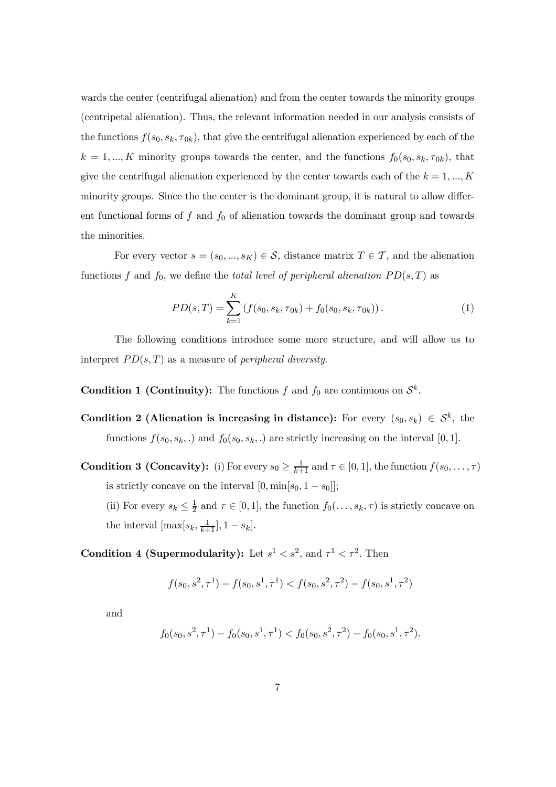wards the center (centrifugal alienation) and from the center towards the minority groups (centripetal alienation). Thus, the relevant information needed in our analysis consists of the functions  $f(s_0, s_k, \tau_{0k})$ , that give the centrifugal alienation experienced by each of the  $k = 1, ..., K$  minority groups towards the center, and the functions  $f_0(s_0, s_k, \tau_{0k})$ , that give the centrifugal alienation experienced by the center towards each of the  $k = 1, ..., K$ minority groups. Since the the center is the dominant group, it is natural to allow different functional forms of  $f$  and  $f_0$  of alienation towards the dominant group and towards the minorities.

For every vector  $s = (s_0, ..., s_K) \in \mathcal{S}$ , distance matrix  $T \in \mathcal{T}$ , and the alienation functions f and  $f_0$ , we define the total level of peripheral alienation  $PD(s,T)$  as

$$
PD(s,T) = \sum_{k=1}^{K} \left( f(s_0, s_k, \tau_{0k}) + f_0(s_0, s_k, \tau_{0k}) \right). \tag{1}
$$

The following conditions introduce some more structure, and will allow us to interpret  $PD(s,T)$  as a measure of *peripheral diversity*.

**Condition 1 (Continuity):** The functions f and  $f_0$  are continuous on  $\mathcal{S}^k$ .

- Condition 2 (Alienation is increasing in distance): For every  $(s_0, s_k) \in S^k$ , the functions  $f(s_0, s_k, \cdot)$  and  $f_0(s_0, s_k, \cdot)$  are strictly increasing on the interval [0, 1].
- **Condition 3 (Concavity):** (i) For every  $s_0 \geq \frac{1}{k+1}$  and  $\tau \in [0,1]$ , the function  $f(s_0, \ldots, \tau)$ is strictly concave on the interval  $[0, \min[s_0, 1 - s_0]]$ ;
	- (ii) For every  $s_k \leq \frac{1}{2}$  and  $\tau \in [0,1]$ , the function  $f_0(\ldots,s_k,\tau)$  is strictly concave on the interval  $[\max[s_k, \frac{1}{k+1}], 1 - s_k]$ .

#### Condition 4 (Supermodularity): Let  $s^1 < s^2$ , and  $\tau^1 < \tau^2$ . Then

$$
f(s_0,s^2,\tau^1)-f(s_0,s^1,\tau^1)
$$

and

$$
f_0(s_0, s^2, \tau^1) - f_0(s_0, s^1, \tau^1) < f_0(s_0, s^2, \tau^2) - f_0(s_0, s^1, \tau^2).
$$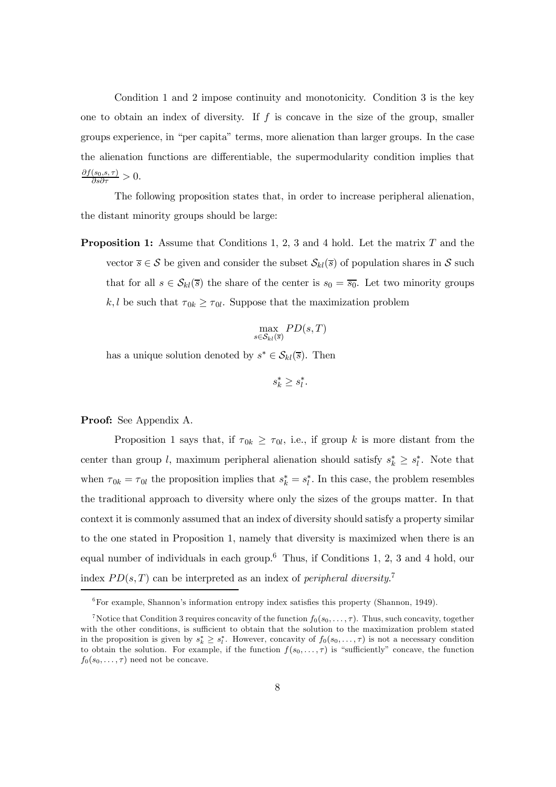Condition 1 and 2 impose continuity and monotonicity. Condition 3 is the key one to obtain an index of diversity. If  $f$  is concave in the size of the group, smaller groups experience, in "per capita" terms, more alienation than larger groups. In the case the alienation functions are differentiable, the supermodularity condition implies that  $\frac{\partial f(s_0, s, \tau)}{\partial s \partial \tau} > 0.$ 

The following proposition states that, in order to increase peripheral alienation, the distant minority groups should be large:

**Proposition 1:** Assume that Conditions 1, 2, 3 and 4 hold. Let the matrix  $T$  and the vector  $\overline{s} \in S$  be given and consider the subset  $\mathcal{S}_{kl}(\overline{s})$  of population shares in S such that for all  $s \in S_{kl}(\overline{s})$  the share of the center is  $s_0 = \overline{s_0}$ . Let two minority groups k, l be such that  $\tau_{0k} \geq \tau_{0l}$ . Suppose that the maximization problem

$$
\max_{s \in \mathcal{S}_{kl}(\overline{s})} PD(s, T)
$$

has a unique solution denoted by  $s^* \in S_{kl}(\overline{s})$ . Then

$$
s_k^* \geq s_l^*.
$$

Proof: See Appendix A.

Proposition 1 says that, if  $\tau_{0k} \geq \tau_{0l}$ , i.e., if group k is more distant from the center than group l, maximum peripheral alienation should satisfy  $s_k^* \geq s_l^*$ . Note that when  $\tau_{0k} = \tau_{0l}$  the proposition implies that  $s_k^* = s_l^*$ . In this case, the problem resembles the traditional approach to diversity where only the sizes of the groups matter. In that context it is commonly assumed that an index of diversity should satisfy a property similar to the one stated in Proposition 1, namely that diversity is maximized when there is an equal number of individuals in each group.<sup>6</sup> Thus, if Conditions 1, 2, 3 and 4 hold, our index  $PD(s, T)$  can be interpreted as an index of *peripheral diversity.*<sup>7</sup>

 ${}^{6}$  For example, Shannon's information entropy index satisfies this property (Shannon, 1949).

<sup>&</sup>lt;sup>7</sup>Notice that Condition 3 requires concavity of the function  $f_0(s_0,\ldots,\tau)$ . Thus, such concavity, together with the other conditions, is sufficient to obtain that the solution to the maximization problem stated in the proposition is given by  $s_k^* \geq s_l^*$ . However, concavity of  $f_0(s_0,\ldots,\tau)$  is not a necessary condition to obtain the solution. For example, if the function  $f(s_0,\ldots,\tau)$  is "sufficiently" concave, the function  $f_0(s_0,\ldots,\tau)$  need not be concave.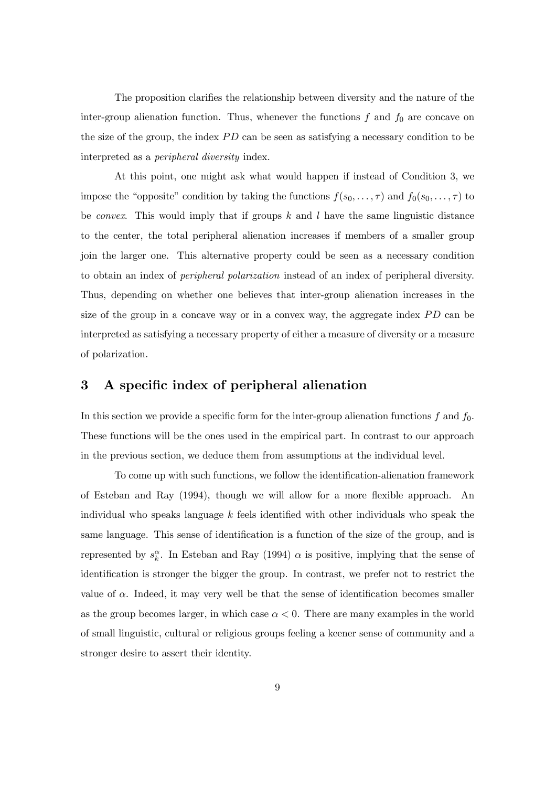The proposition clarifies the relationship between diversity and the nature of the inter-group alienation function. Thus, whenever the functions  $f$  and  $f_0$  are concave on the size of the group, the index PD can be seen as satisfying a necessary condition to be interpreted as a peripheral diversity index.

At this point, one might ask what would happen if instead of Condition 3, we impose the "opposite" condition by taking the functions  $f(s_0,...,\tau)$  and  $f_0(s_0,...,\tau)$  to be *convex*. This would imply that if groups  $k$  and  $l$  have the same linguistic distance to the center, the total peripheral alienation increases if members of a smaller group join the larger one. This alternative property could be seen as a necessary condition to obtain an index of peripheral polarization instead of an index of peripheral diversity. Thus, depending on whether one believes that inter-group alienation increases in the size of the group in a concave way or in a convex way, the aggregate index PD can be interpreted as satisfying a necessary property of either a measure of diversity or a measure of polarization.

#### 3 A specific index of peripheral alienation

In this section we provide a specific form for the inter-group alienation functions  $f$  and  $f_0$ . These functions will be the ones used in the empirical part. In contrast to our approach in the previous section, we deduce them from assumptions at the individual level.

To come up with such functions, we follow the identification-alienation framework of Esteban and Ray (1994), though we will allow for a more flexible approach. An individual who speaks language  $k$  feels identified with other individuals who speak the same language. This sense of identification is a function of the size of the group, and is represented by  $s_k^{\alpha}$ . In Esteban and Ray (1994)  $\alpha$  is positive, implying that the sense of identification is stronger the bigger the group. In contrast, we prefer not to restrict the value of  $\alpha$ . Indeed, it may very well be that the sense of identification becomes smaller as the group becomes larger, in which case  $\alpha < 0$ . There are many examples in the world of small linguistic, cultural or religious groups feeling a keener sense of community and a stronger desire to assert their identity.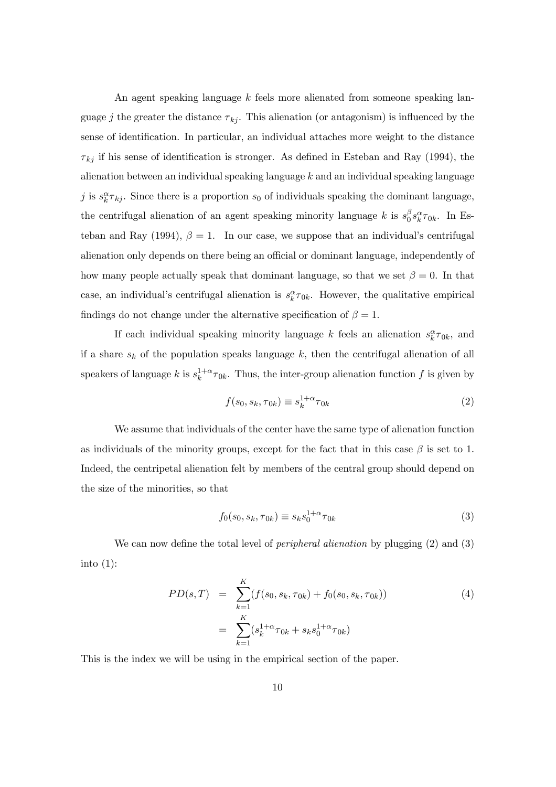An agent speaking language k feels more alienated from someone speaking language j the greater the distance  $\tau_{ki}$ . This alienation (or antagonism) is influenced by the sense of identification. In particular, an individual attaches more weight to the distance  $\tau_{ki}$  if his sense of identification is stronger. As defined in Esteban and Ray (1994), the alienation between an individual speaking language  $k$  and an individual speaking language j is  $s_k^{\alpha} \tau_{kj}$ . Since there is a proportion  $s_0$  of individuals speaking the dominant language, the centrifugal alienation of an agent speaking minority language k is  $s_0^{\beta} s_k^{\alpha} \tau_{0k}$ . In Esteban and Ray (1994),  $\beta = 1$ . In our case, we suppose that an individual's centrifugal alienation only depends on there being an official or dominant language, independently of how many people actually speak that dominant language, so that we set  $\beta = 0$ . In that case, an individual's centrifugal alienation is  $s_k^{\alpha} \tau_{0k}$ . However, the qualitative empirical findings do not change under the alternative specification of  $\beta = 1$ .

If each individual speaking minority language k feels an alienation  $s_k^{\alpha} \tau_{0k}$ , and if a share  $s_k$  of the population speaks language  $k$ , then the centrifugal alienation of all speakers of language k is  $s_k^{1+\alpha} \tau_{0k}$ . Thus, the inter-group alienation function f is given by

$$
f(s_0, s_k, \tau_{0k}) \equiv s_k^{1+\alpha} \tau_{0k} \tag{2}
$$

We assume that individuals of the center have the same type of alienation function as individuals of the minority groups, except for the fact that in this case  $\beta$  is set to 1. Indeed, the centripetal alienation felt by members of the central group should depend on the size of the minorities, so that

$$
f_0(s_0, s_k, \tau_{0k}) \equiv s_k s_0^{1+\alpha} \tau_{0k}
$$
 (3)

We can now define the total level of *peripheral alienation* by plugging (2) and (3) into  $(1)$ :

$$
PD(s,T) = \sum_{k=1}^{K} (f(s_0, s_k, \tau_{0k}) + f_0(s_0, s_k, \tau_{0k}))
$$
\n
$$
= \sum_{k=1}^{K} (s_k^{1+\alpha} \tau_{0k} + s_k s_0^{1+\alpha} \tau_{0k})
$$
\n(4)

This is the index we will be using in the empirical section of the paper.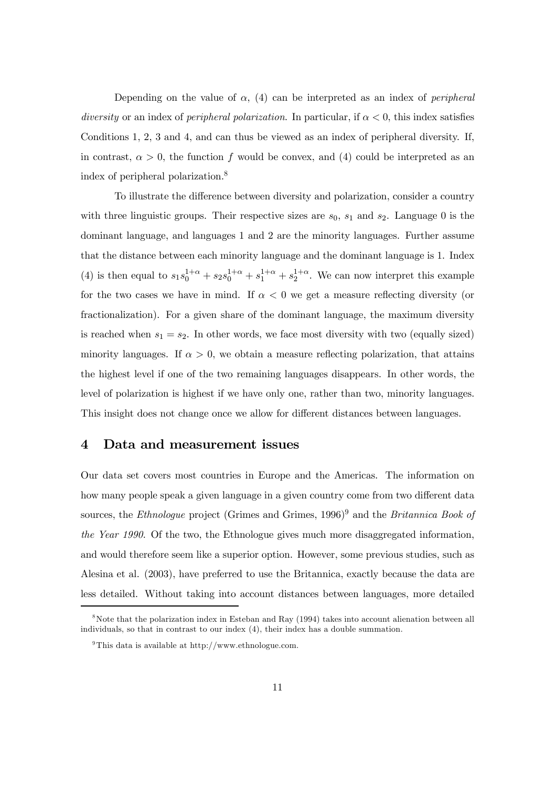Depending on the value of  $\alpha$ , (4) can be interpreted as an index of *peripheral* diversity or an index of *peripheral polarization*. In particular, if  $\alpha < 0$ , this index satisfies Conditions 1, 2, 3 and 4, and can thus be viewed as an index of peripheral diversity. If, in contrast,  $\alpha > 0$ , the function f would be convex, and (4) could be interpreted as an index of peripheral polarization.8

To illustrate the difference between diversity and polarization, consider a country with three linguistic groups. Their respective sizes are  $s_0$ ,  $s_1$  and  $s_2$ . Language 0 is the dominant language, and languages 1 and 2 are the minority languages. Further assume that the distance between each minority language and the dominant language is 1. Index (4) is then equal to  $s_1s_0^{1+\alpha} + s_2s_0^{1+\alpha} + s_1^{1+\alpha} + s_2^{1+\alpha}$ . We can now interpret this example for the two cases we have in mind. If  $\alpha < 0$  we get a measure reflecting diversity (or fractionalization). For a given share of the dominant language, the maximum diversity is reached when  $s_1 = s_2$ . In other words, we face most diversity with two (equally sized) minority languages. If  $\alpha > 0$ , we obtain a measure reflecting polarization, that attains the highest level if one of the two remaining languages disappears. In other words, the level of polarization is highest if we have only one, rather than two, minority languages. This insight does not change once we allow for different distances between languages.

#### 4 Data and measurement issues

Our data set covers most countries in Europe and the Americas. The information on how many people speak a given language in a given country come from two different data sources, the Ethnologue project (Grimes and Grimes,  $1996)^9$  and the Britannica Book of the Year 1990. Of the two, the Ethnologue gives much more disaggregated information, and would therefore seem like a superior option. However, some previous studies, such as Alesina et al. (2003), have preferred to use the Britannica, exactly because the data are less detailed. Without taking into account distances between languages, more detailed

<sup>&</sup>lt;sup>8</sup>Note that the polarization index in Esteban and Ray (1994) takes into account alienation between all individuals, so that in contrast to our index (4), their index has a double summation.

<sup>&</sup>lt;sup>9</sup>This data is available at http://www.ethnologue.com.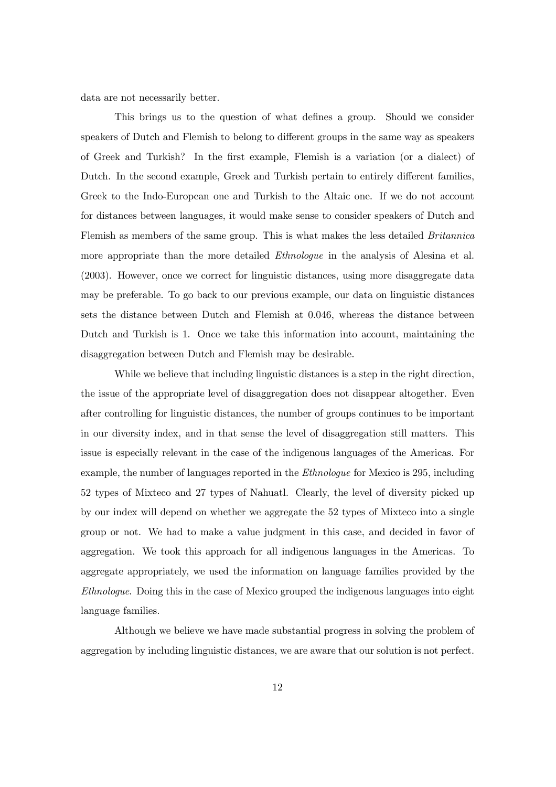data are not necessarily better.

This brings us to the question of what defines a group. Should we consider speakers of Dutch and Flemish to belong to different groups in the same way as speakers of Greek and Turkish? In the first example, Flemish is a variation (or a dialect) of Dutch. In the second example, Greek and Turkish pertain to entirely different families, Greek to the Indo-European one and Turkish to the Altaic one. If we do not account for distances between languages, it would make sense to consider speakers of Dutch and Flemish as members of the same group. This is what makes the less detailed Britannica more appropriate than the more detailed *Ethnologue* in the analysis of Alesina et al. (2003). However, once we correct for linguistic distances, using more disaggregate data may be preferable. To go back to our previous example, our data on linguistic distances sets the distance between Dutch and Flemish at 0.046, whereas the distance between Dutch and Turkish is 1. Once we take this information into account, maintaining the disaggregation between Dutch and Flemish may be desirable.

While we believe that including linguistic distances is a step in the right direction, the issue of the appropriate level of disaggregation does not disappear altogether. Even after controlling for linguistic distances, the number of groups continues to be important in our diversity index, and in that sense the level of disaggregation still matters. This issue is especially relevant in the case of the indigenous languages of the Americas. For example, the number of languages reported in the Ethnologue for Mexico is 295, including 52 types of Mixteco and 27 types of Nahuatl. Clearly, the level of diversity picked up by our index will depend on whether we aggregate the 52 types of Mixteco into a single group or not. We had to make a value judgment in this case, and decided in favor of aggregation. We took this approach for all indigenous languages in the Americas. To aggregate appropriately, we used the information on language families provided by the Ethnologue. Doing this in the case of Mexico grouped the indigenous languages into eight language families.

Although we believe we have made substantial progress in solving the problem of aggregation by including linguistic distances, we are aware that our solution is not perfect.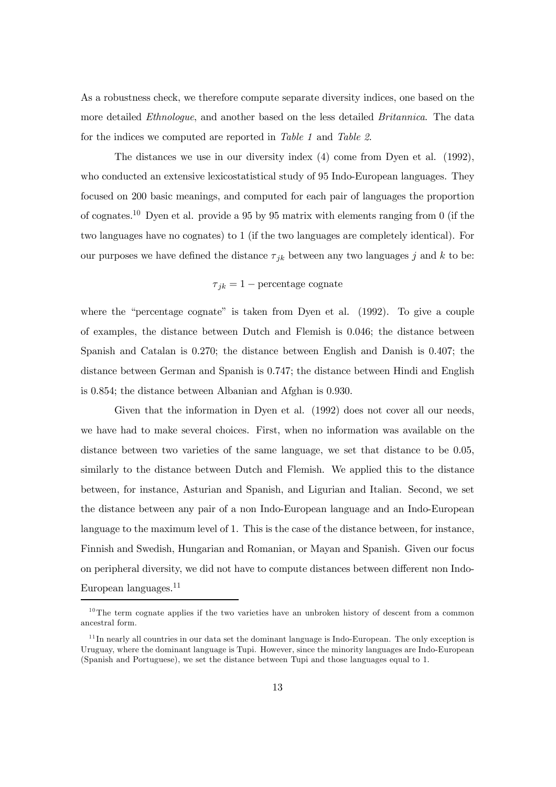As a robustness check, we therefore compute separate diversity indices, one based on the more detailed Ethnologue, and another based on the less detailed Britannica. The data for the indices we computed are reported in Table 1 and Table 2.

The distances we use in our diversity index (4) come from Dyen et al. (1992), who conducted an extensive lexicostatistical study of 95 Indo-European languages. They focused on 200 basic meanings, and computed for each pair of languages the proportion of cognates.1<sup>0</sup> Dyen et al. provide a 95 by 95 matrix with elements ranging from 0 (if the two languages have no cognates) to 1 (if the two languages are completely identical). For our purposes we have defined the distance  $\tau_{jk}$  between any two languages j and k to be:

#### $\tau_{jk} = 1$  – percentage cognate

where the "percentage cognate" is taken from Dyen et al. (1992). To give a couple of examples, the distance between Dutch and Flemish is 0.046; the distance between Spanish and Catalan is 0.270; the distance between English and Danish is 0.407; the distance between German and Spanish is 0.747; the distance between Hindi and English is 0.854; the distance between Albanian and Afghan is 0.930.

Given that the information in Dyen et al. (1992) does not cover all our needs, we have had to make several choices. First, when no information was available on the distance between two varieties of the same language, we set that distance to be 0.05, similarly to the distance between Dutch and Flemish. We applied this to the distance between, for instance, Asturian and Spanish, and Ligurian and Italian. Second, we set the distance between any pair of a non Indo-European language and an Indo-European language to the maximum level of 1. This is the case of the distance between, for instance, Finnish and Swedish, Hungarian and Romanian, or Mayan and Spanish. Given our focus on peripheral diversity, we did not have to compute distances between different non Indo-European languages.<sup>11</sup>

<sup>&</sup>lt;sup>10</sup>The term cognate applies if the two varieties have an unbroken history of descent from a common ancestral form.

 $11$ In nearly all countries in our data set the dominant language is Indo-European. The only exception is Uruguay, where the dominant language is Tupi. However, since the minority languages are Indo-European (Spanish and Portuguese), we set the distance between Tupi and those languages equal to 1.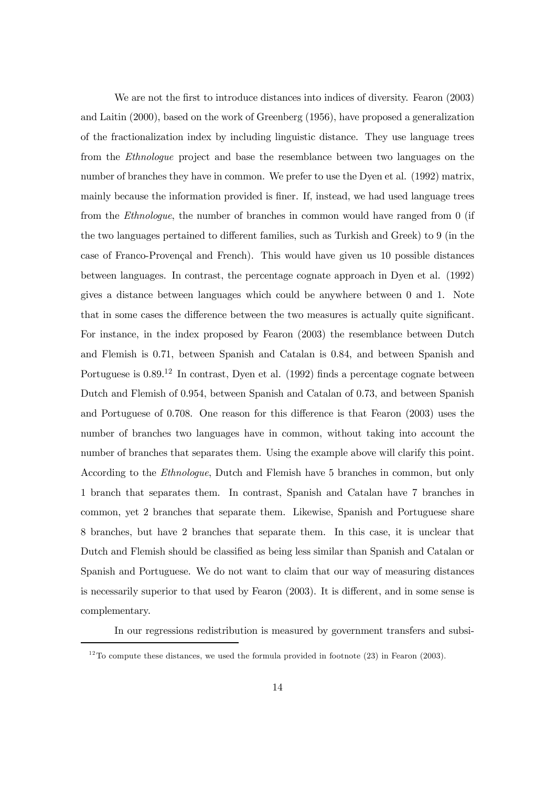We are not the first to introduce distances into indices of diversity. Fearon (2003) and Laitin (2000), based on the work of Greenberg (1956), have proposed a generalization of the fractionalization index by including linguistic distance. They use language trees from the Ethnologue project and base the resemblance between two languages on the number of branches they have in common. We prefer to use the Dyen et al. (1992) matrix, mainly because the information provided is finer. If, instead, we had used language trees from the Ethnologue, the number of branches in common would have ranged from 0 (if the two languages pertained to different families, such as Turkish and Greek) to 9 (in the case of Franco-Provençal and French). This would have given us 10 possible distances between languages. In contrast, the percentage cognate approach in Dyen et al. (1992) gives a distance between languages which could be anywhere between 0 and 1. Note that in some cases the difference between the two measures is actually quite significant. For instance, in the index proposed by Fearon (2003) the resemblance between Dutch and Flemish is 0.71, between Spanish and Catalan is 0.84, and between Spanish and Portuguese is  $0.89^{12}$  In contrast, Dyen et al. (1992) finds a percentage cognate between Dutch and Flemish of 0.954, between Spanish and Catalan of 0.73, and between Spanish and Portuguese of 0.708. One reason for this difference is that Fearon (2003) uses the number of branches two languages have in common, without taking into account the number of branches that separates them. Using the example above will clarify this point. According to the Ethnologue, Dutch and Flemish have 5 branches in common, but only 1 branch that separates them. In contrast, Spanish and Catalan have 7 branches in common, yet 2 branches that separate them. Likewise, Spanish and Portuguese share 8 branches, but have 2 branches that separate them. In this case, it is unclear that Dutch and Flemish should be classified as being less similar than Spanish and Catalan or Spanish and Portuguese. We do not want to claim that our way of measuring distances is necessarily superior to that used by Fearon (2003). It is different, and in some sense is complementary.

In our regressions redistribution is measured by government transfers and subsi-

<sup>&</sup>lt;sup>12</sup>To compute these distances, we used the formula provided in footnote (23) in Fearon (2003).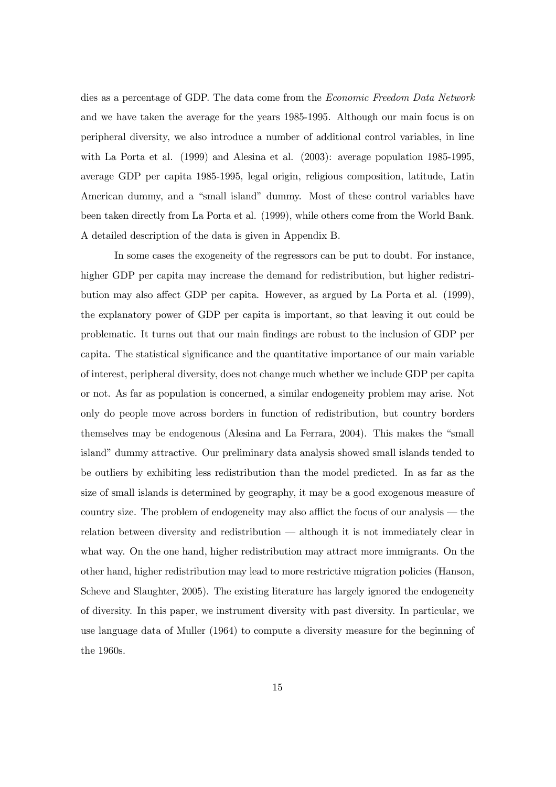dies as a percentage of GDP. The data come from the Economic Freedom Data Network and we have taken the average for the years 1985-1995. Although our main focus is on peripheral diversity, we also introduce a number of additional control variables, in line with La Porta et al. (1999) and Alesina et al. (2003): average population 1985-1995, average GDP per capita 1985-1995, legal origin, religious composition, latitude, Latin American dummy, and a "small island" dummy. Most of these control variables have been taken directly from La Porta et al. (1999), while others come from the World Bank. A detailed description of the data is given in Appendix B.

In some cases the exogeneity of the regressors can be put to doubt. For instance, higher GDP per capita may increase the demand for redistribution, but higher redistribution may also affect GDP per capita. However, as argued by La Porta et al. (1999), the explanatory power of GDP per capita is important, so that leaving it out could be problematic. It turns out that our main findings are robust to the inclusion of GDP per capita. The statistical significance and the quantitative importance of our main variable of interest, peripheral diversity, does not change much whether we include GDP per capita or not. As far as population is concerned, a similar endogeneity problem may arise. Not only do people move across borders in function of redistribution, but country borders themselves may be endogenous (Alesina and La Ferrara, 2004). This makes the "small island" dummy attractive. Our preliminary data analysis showed small islands tended to be outliers by exhibiting less redistribution than the model predicted. In as far as the size of small islands is determined by geography, it may be a good exogenous measure of country size. The problem of endogeneity may also afflict the focus of our analysis – the relation between diversity and redistribution – although it is not immediately clear in what way. On the one hand, higher redistribution may attract more immigrants. On the other hand, higher redistribution may lead to more restrictive migration policies (Hanson, Scheve and Slaughter, 2005). The existing literature has largely ignored the endogeneity of diversity. In this paper, we instrument diversity with past diversity. In particular, we use language data of Muller (1964) to compute a diversity measure for the beginning of the 1960s.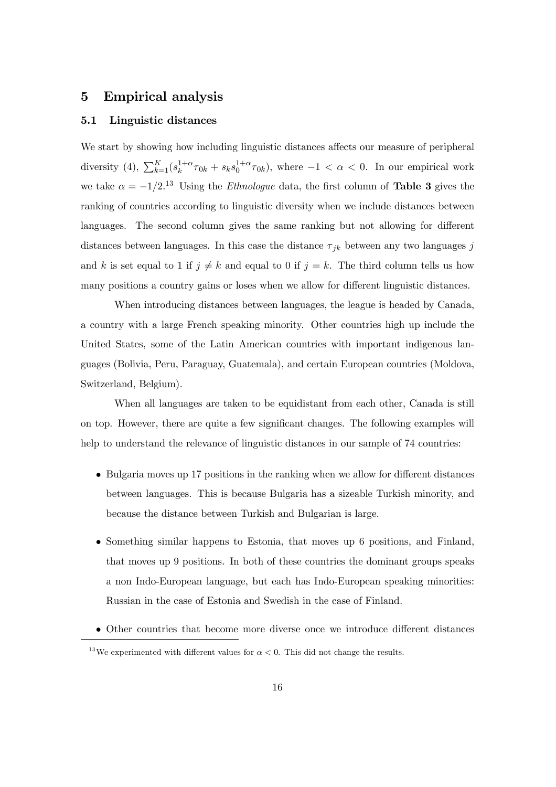#### 5 Empirical analysis

#### 5.1 Linguistic distances

We start by showing how including linguistic distances affects our measure of peripheral diversity (4),  $\sum_{k=1}^{K} (s_k^{1+\alpha} \tau_{0k} + s_k s_0^{1+\alpha} \tau_{0k})$ , where  $-1 < \alpha < 0$ . In our empirical work we take  $\alpha = -1/2$ <sup>13</sup> Using the *Ethnologue* data, the first column of **Table 3** gives the ranking of countries according to linguistic diversity when we include distances between languages. The second column gives the same ranking but not allowing for different distances between languages. In this case the distance  $\tau_{jk}$  between any two languages j and k is set equal to 1 if  $j \neq k$  and equal to 0 if  $j = k$ . The third column tells us how many positions a country gains or loses when we allow for different linguistic distances.

When introducing distances between languages, the league is headed by Canada, a country with a large French speaking minority. Other countries high up include the United States, some of the Latin American countries with important indigenous languages (Bolivia, Peru, Paraguay, Guatemala), and certain European countries (Moldova, Switzerland, Belgium).

When all languages are taken to be equidistant from each other, Canada is still on top. However, there are quite a few significant changes. The following examples will help to understand the relevance of linguistic distances in our sample of  $74$  countries:

- Bulgaria moves up 17 positions in the ranking when we allow for different distances between languages. This is because Bulgaria has a sizeable Turkish minority, and because the distance between Turkish and Bulgarian is large.
- Something similar happens to Estonia, that moves up 6 positions, and Finland, that moves up 9 positions. In both of these countries the dominant groups speaks a non Indo-European language, but each has Indo-European speaking minorities: Russian in the case of Estonia and Swedish in the case of Finland.
- Other countries that become more diverse once we introduce different distances

<sup>&</sup>lt;sup>13</sup>We experimented with different values for  $\alpha < 0$ . This did not change the results.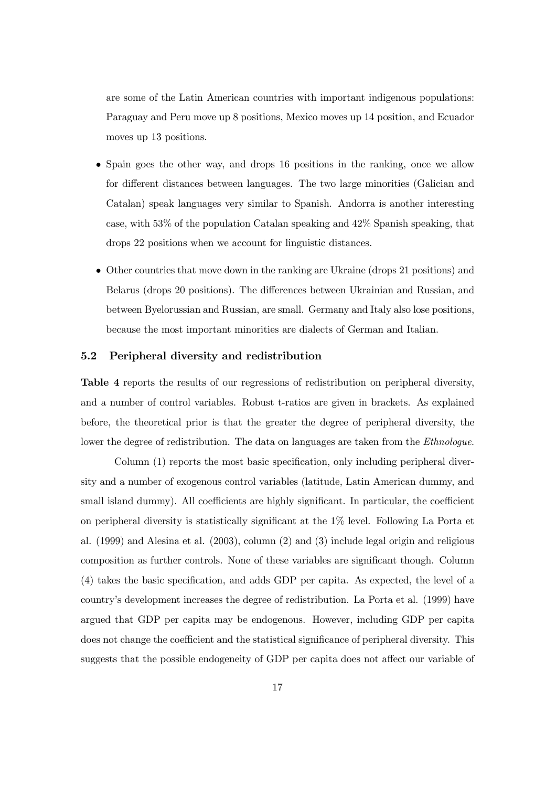are some of the Latin American countries with important indigenous populations: Paraguay and Peru move up 8 positions, Mexico moves up 14 position, and Ecuador moves up 13 positions.

- Spain goes the other way, and drops 16 positions in the ranking, once we allow for different distances between languages. The two large minorities (Galician and Catalan) speak languages very similar to Spanish. Andorra is another interesting case, with 53% of the population Catalan speaking and 42% Spanish speaking, that drops 22 positions when we account for linguistic distances.
- Other countries that move down in the ranking are Ukraine (drops 21 positions) and Belarus (drops 20 positions). The differences between Ukrainian and Russian, and between Byelorussian and Russian, are small. Germany and Italy also lose positions, because the most important minorities are dialects of German and Italian.

#### 5.2 Peripheral diversity and redistribution

Table 4 reports the results of our regressions of redistribution on peripheral diversity, and a number of control variables. Robust t-ratios are given in brackets. As explained before, the theoretical prior is that the greater the degree of peripheral diversity, the lower the degree of redistribution. The data on languages are taken from the *Ethnologue*.

Column (1) reports the most basic specification, only including peripheral diversity and a number of exogenous control variables (latitude, Latin American dummy, and small island dummy). All coefficients are highly significant. In particular, the coefficient on peripheral diversity is statistically significant at the 1% level. Following La Porta et al. (1999) and Alesina et al. (2003), column (2) and (3) include legal origin and religious composition as further controls. None of these variables are significant though. Column (4) takes the basic specification, and adds GDP per capita. As expected, the level of a country's development increases the degree of redistribution. La Porta et al. (1999) have argued that GDP per capita may be endogenous. However, including GDP per capita does not change the coefficient and the statistical significance of peripheral diversity. This suggests that the possible endogeneity of GDP per capita does not affect our variable of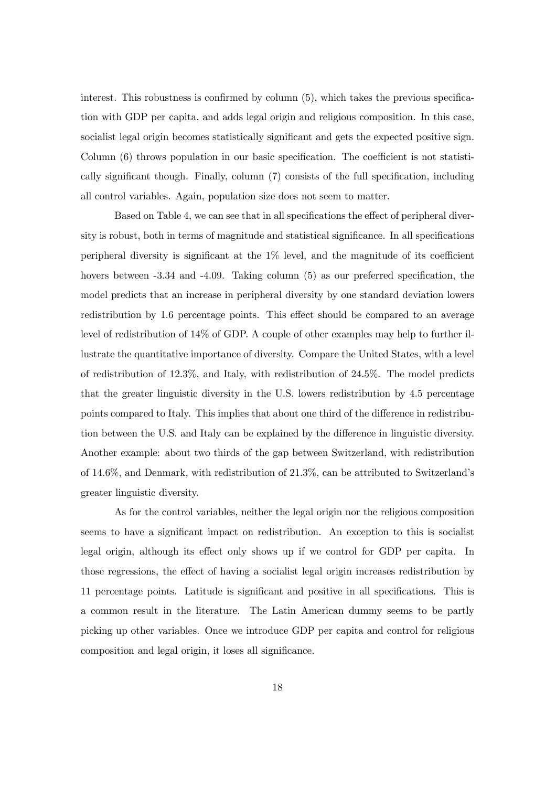interest. This robustness is confirmed by column (5), which takes the previous specification with GDP per capita, and adds legal origin and religious composition. In this case, socialist legal origin becomes statistically significant and gets the expected positive sign. Column (6) throws population in our basic specification. The coefficient is not statistically significant though. Finally, column (7) consists of the full specification, including all control variables. Again, population size does not seem to matter.

Based on Table 4, we can see that in all specifications the effect of peripheral diversity is robust, both in terms of magnitude and statistical significance. In all specifications peripheral diversity is significant at the 1% level, and the magnitude of its coefficient hovers between  $-3.34$  and  $-4.09$ . Taking column (5) as our preferred specification, the model predicts that an increase in peripheral diversity by one standard deviation lowers redistribution by 1.6 percentage points. This effect should be compared to an average level of redistribution of 14% of GDP. A couple of other examples may help to further illustrate the quantitative importance of diversity. Compare the United States, with a level of redistribution of 12.3%, and Italy, with redistribution of 24.5%. The model predicts that the greater linguistic diversity in the U.S. lowers redistribution by 4.5 percentage points compared to Italy. This implies that about one third of the difference in redistribution between the U.S. and Italy can be explained by the difference in linguistic diversity. Another example: about two thirds of the gap between Switzerland, with redistribution of 14.6%, and Denmark, with redistribution of 21.3%, can be attributed to Switzerland's greater linguistic diversity.

As for the control variables, neither the legal origin nor the religious composition seems to have a significant impact on redistribution. An exception to this is socialist legal origin, although its effect only shows up if we control for GDP per capita. In those regressions, the effect of having a socialist legal origin increases redistribution by 11 percentage points. Latitude is significant and positive in all specifications. This is a common result in the literature. The Latin American dummy seems to be partly picking up other variables. Once we introduce GDP per capita and control for religious composition and legal origin, it loses all significance.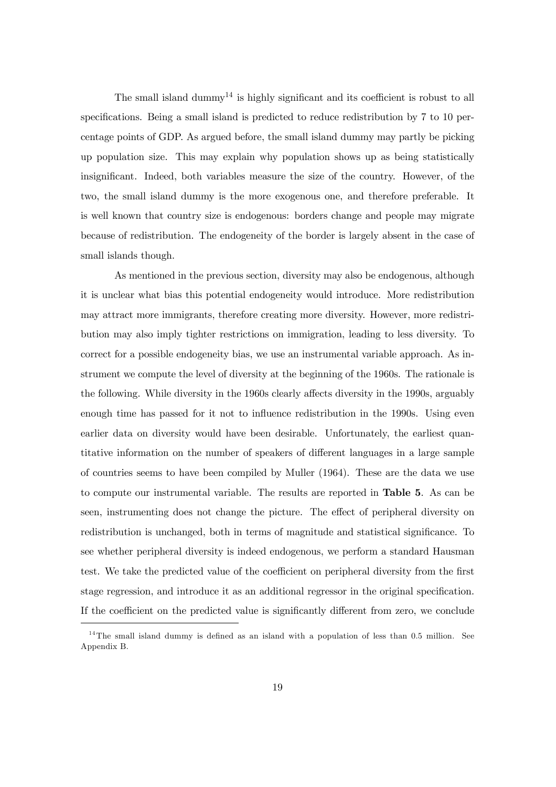The small island dummy<sup>14</sup> is highly significant and its coefficient is robust to all specifications. Being a small island is predicted to reduce redistribution by 7 to 10 percentage points of GDP. As argued before, the small island dummy may partly be picking up population size. This may explain why population shows up as being statistically insignificant. Indeed, both variables measure the size of the country. However, of the two, the small island dummy is the more exogenous one, and therefore preferable. It is well known that country size is endogenous: borders change and people may migrate because of redistribution. The endogeneity of the border is largely absent in the case of small islands though.

As mentioned in the previous section, diversity may also be endogenous, although it is unclear what bias this potential endogeneity would introduce. More redistribution may attract more immigrants, therefore creating more diversity. However, more redistribution may also imply tighter restrictions on immigration, leading to less diversity. To correct for a possible endogeneity bias, we use an instrumental variable approach. As instrument we compute the level of diversity at the beginning of the 1960s. The rationale is the following. While diversity in the 1960s clearly affects diversity in the 1990s, arguably enough time has passed for it not to influence redistribution in the 1990s. Using even earlier data on diversity would have been desirable. Unfortunately, the earliest quantitative information on the number of speakers of different languages in a large sample of countries seems to have been compiled by Muller (1964). These are the data we use to compute our instrumental variable. The results are reported in Table 5. As can be seen, instrumenting does not change the picture. The effect of peripheral diversity on redistribution is unchanged, both in terms of magnitude and statistical significance. To see whether peripheral diversity is indeed endogenous, we perform a standard Hausman test. We take the predicted value of the coefficient on peripheral diversity from the first stage regression, and introduce it as an additional regressor in the original specification. If the coefficient on the predicted value is significantly different from zero, we conclude

<sup>&</sup>lt;sup>14</sup>The small island dummy is defined as an island with a population of less than 0.5 million. See Appendix B.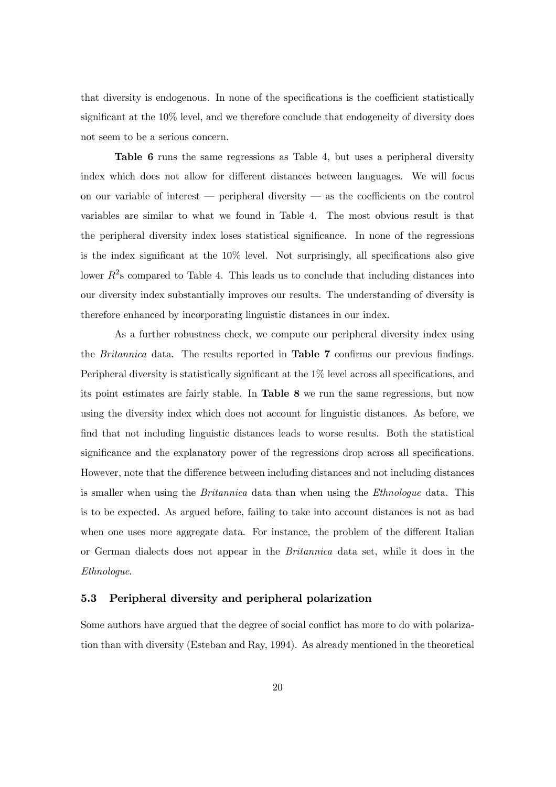that diversity is endogenous. In none of the specifications is the coefficient statistically significant at the 10% level, and we therefore conclude that endogeneity of diversity does not seem to be a serious concern.

Table 6 runs the same regressions as Table 4, but uses a peripheral diversity index which does not allow for different distances between languages. We will focus on our variable of interest – peripheral diversity – as the coefficients on the control variables are similar to what we found in Table 4. The most obvious result is that the peripheral diversity index loses statistical significance. In none of the regressions is the index significant at the 10% level. Not surprisingly, all specifications also give lower  $R<sup>2</sup>$ s compared to Table 4. This leads us to conclude that including distances into our diversity index substantially improves our results. The understanding of diversity is therefore enhanced by incorporating linguistic distances in our index.

As a further robustness check, we compute our peripheral diversity index using the Britannica data. The results reported in Table 7 confirms our previous findings. Peripheral diversity is statistically significant at the 1% level across all specifications, and its point estimates are fairly stable. In Table 8 we run the same regressions, but now using the diversity index which does not account for linguistic distances. As before, we find that not including linguistic distances leads to worse results. Both the statistical significance and the explanatory power of the regressions drop across all specifications. However, note that the difference between including distances and not including distances is smaller when using the *Britannica* data than when using the *Ethnologue* data. This is to be expected. As argued before, failing to take into account distances is not as bad when one uses more aggregate data. For instance, the problem of the different Italian or German dialects does not appear in the Britannica data set, while it does in the Ethnologue.

#### 5.3 Peripheral diversity and peripheral polarization

Some authors have argued that the degree of social conflict has more to do with polarization than with diversity (Esteban and Ray, 1994). As already mentioned in the theoretical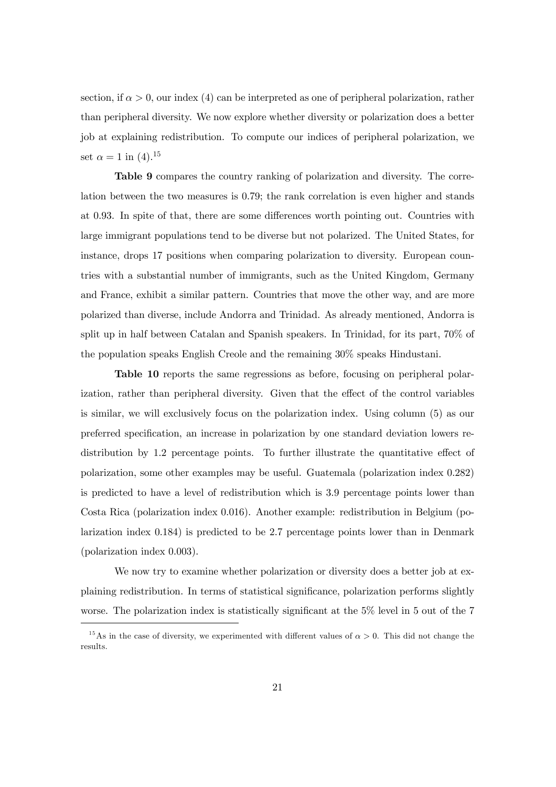section, if  $\alpha > 0$ , our index (4) can be interpreted as one of peripheral polarization, rather than peripheral diversity. We now explore whether diversity or polarization does a better job at explaining redistribution. To compute our indices of peripheral polarization, we set  $\alpha = 1$  in (4).<sup>15</sup>

Table 9 compares the country ranking of polarization and diversity. The correlation between the two measures is 0.79; the rank correlation is even higher and stands at 0.93. In spite of that, there are some differences worth pointing out. Countries with large immigrant populations tend to be diverse but not polarized. The United States, for instance, drops 17 positions when comparing polarization to diversity. European countries with a substantial number of immigrants, such as the United Kingdom, Germany and France, exhibit a similar pattern. Countries that move the other way, and are more polarized than diverse, include Andorra and Trinidad. As already mentioned, Andorra is split up in half between Catalan and Spanish speakers. In Trinidad, for its part, 70% of the population speaks English Creole and the remaining 30% speaks Hindustani.

Table 10 reports the same regressions as before, focusing on peripheral polarization, rather than peripheral diversity. Given that the effect of the control variables is similar, we will exclusively focus on the polarization index. Using column (5) as our preferred specification, an increase in polarization by one standard deviation lowers redistribution by 1.2 percentage points. To further illustrate the quantitative effect of polarization, some other examples may be useful. Guatemala (polarization index 0.282) is predicted to have a level of redistribution which is 3.9 percentage points lower than Costa Rica (polarization index 0.016). Another example: redistribution in Belgium (polarization index 0.184) is predicted to be 2.7 percentage points lower than in Denmark (polarization index 0.003).

We now try to examine whether polarization or diversity does a better job at explaining redistribution. In terms of statistical significance, polarization performs slightly worse. The polarization index is statistically significant at the 5% level in 5 out of the 7

<sup>&</sup>lt;sup>15</sup>As in the case of diversity, we experimented with different values of  $\alpha > 0$ . This did not change the results.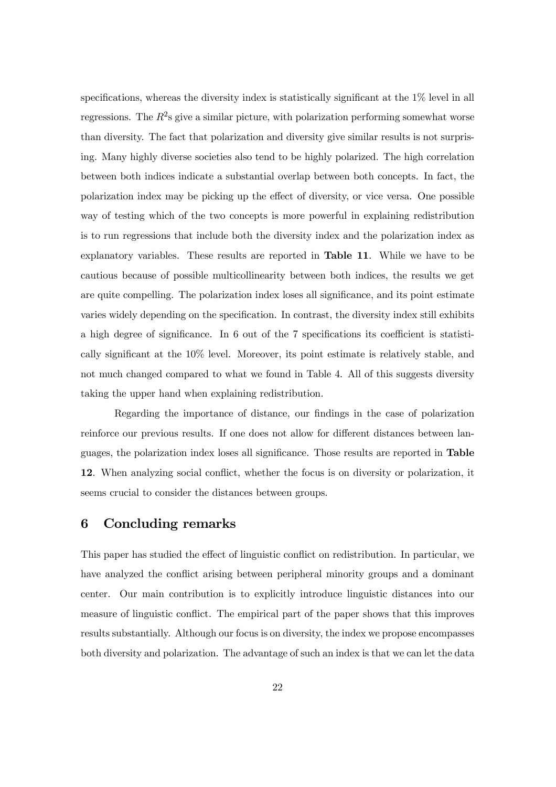specifications, whereas the diversity index is statistically significant at the 1% level in all regressions. The  $R^2$ s give a similar picture, with polarization performing somewhat worse than diversity. The fact that polarization and diversity give similar results is not surprising. Many highly diverse societies also tend to be highly polarized. The high correlation between both indices indicate a substantial overlap between both concepts. In fact, the polarization index may be picking up the effect of diversity, or vice versa. One possible way of testing which of the two concepts is more powerful in explaining redistribution is to run regressions that include both the diversity index and the polarization index as explanatory variables. These results are reported in Table 11. While we have to be cautious because of possible multicollinearity between both indices, the results we get are quite compelling. The polarization index loses all significance, and its point estimate varies widely depending on the specification. In contrast, the diversity index still exhibits a high degree of significance. In 6 out of the 7 specifications its coefficient is statistically significant at the 10% level. Moreover, its point estimate is relatively stable, and not much changed compared to what we found in Table 4. All of this suggests diversity taking the upper hand when explaining redistribution.

Regarding the importance of distance, our findings in the case of polarization reinforce our previous results. If one does not allow for different distances between languages, the polarization index loses all significance. Those results are reported in Table 12. When analyzing social conflict, whether the focus is on diversity or polarization, it seems crucial to consider the distances between groups.

#### 6 Concluding remarks

This paper has studied the effect of linguistic conflict on redistribution. In particular, we have analyzed the conflict arising between peripheral minority groups and a dominant center. Our main contribution is to explicitly introduce linguistic distances into our measure of linguistic conflict. The empirical part of the paper shows that this improves results substantially. Although our focus is on diversity, the index we propose encompasses both diversity and polarization. The advantage of such an index is that we can let the data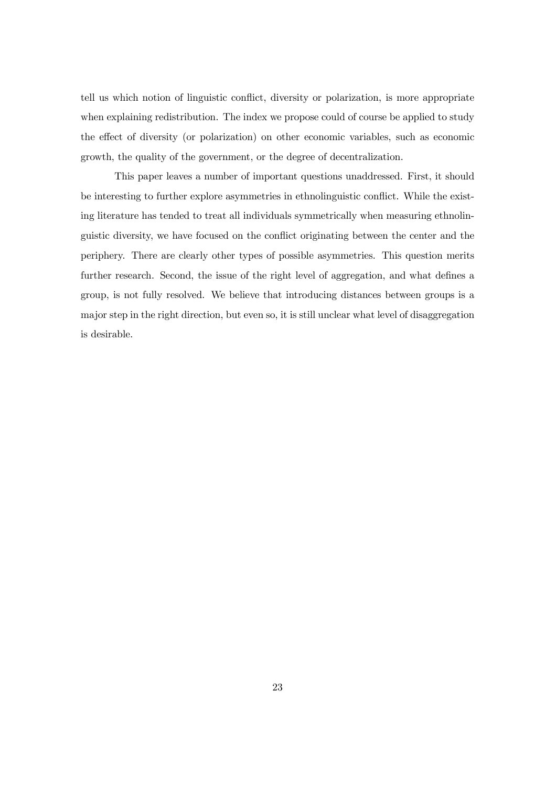tell us which notion of linguistic conflict, diversity or polarization, is more appropriate when explaining redistribution. The index we propose could of course be applied to study the effect of diversity (or polarization) on other economic variables, such as economic growth, the quality of the government, or the degree of decentralization.

This paper leaves a number of important questions unaddressed. First, it should be interesting to further explore asymmetries in ethnolinguistic conflict. While the existing literature has tended to treat all individuals symmetrically when measuring ethnolinguistic diversity, we have focused on the conflict originating between the center and the periphery. There are clearly other types of possible asymmetries. This question merits further research. Second, the issue of the right level of aggregation, and what defines a group, is not fully resolved. We believe that introducing distances between groups is a major step in the right direction, but even so, it is still unclear what level of disaggregation is desirable.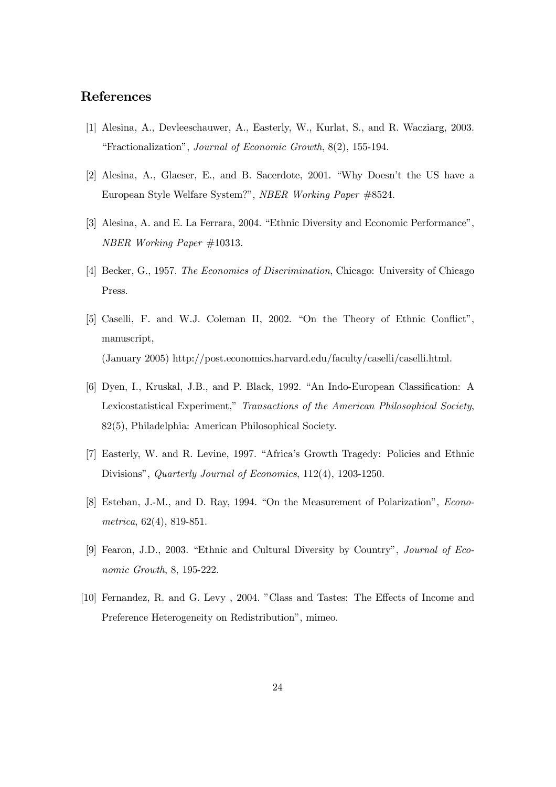#### References

- [1] Alesina, A., Devleeschauwer, A., Easterly, W., Kurlat, S., and R. Wacziarg, 2003. "Fractionalization", Journal of Economic Growth, 8(2), 155-194.
- [2] Alesina, A., Glaeser, E., and B. Sacerdote, 2001. "Why Doesn't the US have a European Style Welfare System?", NBER Working Paper #8524.
- [3] Alesina, A. and E. La Ferrara, 2004. "Ethnic Diversity and Economic Performance", NBER Working Paper #10313.
- [4] Becker, G., 1957. The Economics of Discrimination, Chicago: University of Chicago Press.
- [5] Caselli, F. and W.J. Coleman II, 2002. "On the Theory of Ethnic Conflict", manuscript, (January 2005) http://post.economics.harvard.edu/faculty/caselli/caselli.html.
- [6] Dyen, I., Kruskal, J.B., and P. Black, 1992. "An Indo-European Classification: A Lexicostatistical Experiment," Transactions of the American Philosophical Society, 82(5), Philadelphia: American Philosophical Society.
- [7] Easterly, W. and R. Levine, 1997. "Africa's Growth Tragedy: Policies and Ethnic Divisions", Quarterly Journal of Economics, 112(4), 1203-1250.
- [8] Esteban, J.-M., and D. Ray, 1994. "On the Measurement of Polarization", Econometrica, 62(4), 819-851.
- [9] Fearon, J.D., 2003. "Ethnic and Cultural Diversity by Country", Journal of Economic Growth, 8, 195-222.
- [10] Fernandez, R. and G. Levy , 2004. "Class and Tastes: The Effects of Income and Preference Heterogeneity on Redistribution", mimeo.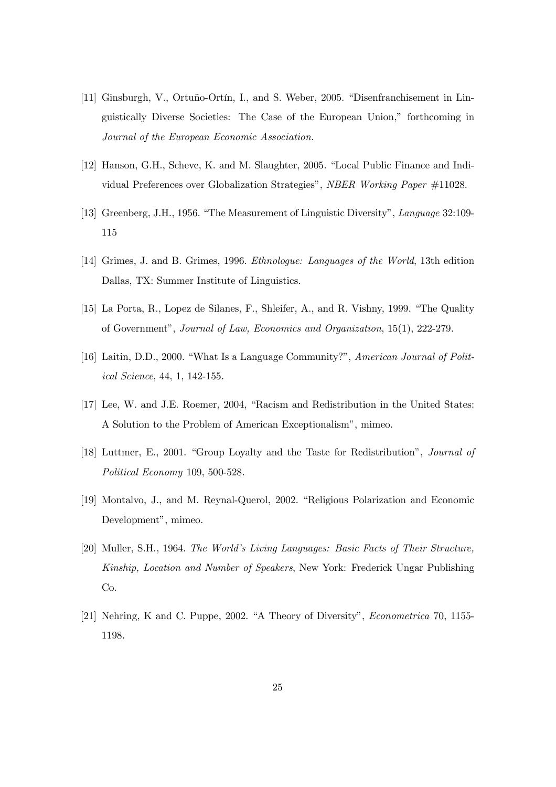- [11] Ginsburgh, V., Ortuño-Ortín, I., and S. Weber, 2005. "Disenfranchisement in Linguistically Diverse Societies: The Case of the European Union," forthcoming in Journal of the European Economic Association.
- [12] Hanson, G.H., Scheve, K. and M. Slaughter, 2005. "Local Public Finance and Individual Preferences over Globalization Strategies", NBER Working Paper #11028.
- [13] Greenberg, J.H., 1956. "The Measurement of Linguistic Diversity", Language 32:109- 115
- [14] Grimes, J. and B. Grimes, 1996. Ethnologue: Languages of the World, 13th edition Dallas, TX: Summer Institute of Linguistics.
- [15] La Porta, R., Lopez de Silanes, F., Shleifer, A., and R. Vishny, 1999. "The Quality of Government", Journal of Law, Economics and Organization, 15(1), 222-279.
- [16] Laitin, D.D., 2000. "What Is a Language Community?", American Journal of Political Science, 44, 1, 142-155.
- [17] Lee, W. and J.E. Roemer, 2004, "Racism and Redistribution in the United States: A Solution to the Problem of American Exceptionalism", mimeo.
- [18] Luttmer, E., 2001. "Group Loyalty and the Taste for Redistribution", Journal of Political Economy 109, 500-528.
- [19] Montalvo, J., and M. Reynal-Querol, 2002. "Religious Polarization and Economic Development", mimeo.
- [20] Muller, S.H., 1964. The World's Living Languages: Basic Facts of Their Structure, Kinship, Location and Number of Speakers, New York: Frederick Ungar Publishing Co.
- [21] Nehring, K and C. Puppe, 2002. "A Theory of Diversity", Econometrica 70, 1155- 1198.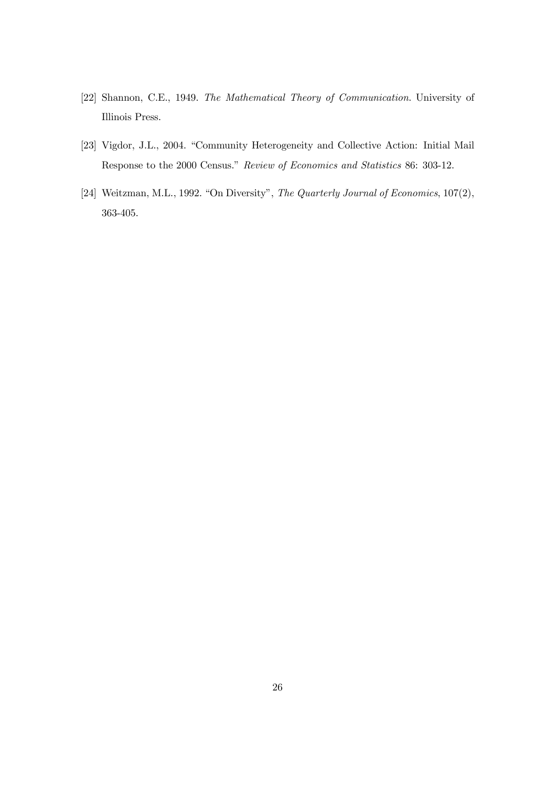- [22] Shannon, C.E., 1949. The Mathematical Theory of Communication. University of Illinois Press.
- [23] Vigdor, J.L., 2004. "Community Heterogeneity and Collective Action: Initial Mail Response to the 2000 Census." Review of Economics and Statistics 86: 303-12.
- [24] Weitzman, M.L., 1992. "On Diversity", The Quarterly Journal of Economics, 107(2), 363-405.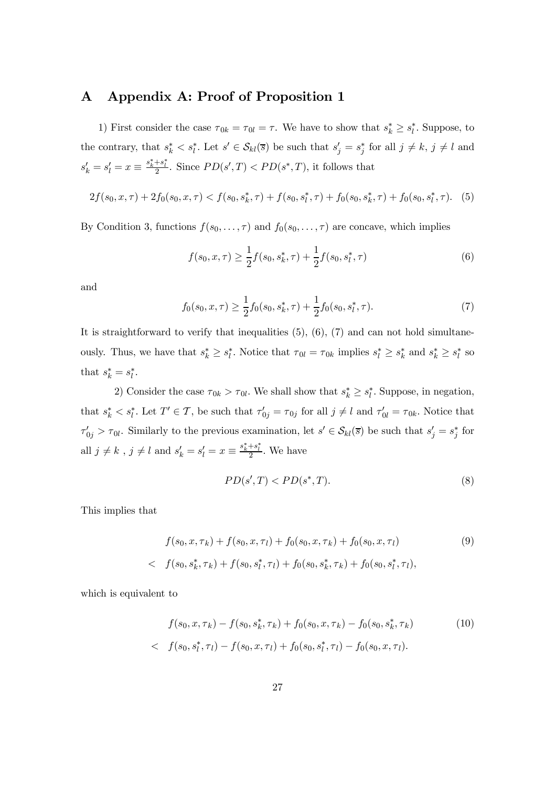#### A Appendix A: Proof of Proposition 1

1) First consider the case  $\tau_{0k} = \tau_{0l} = \tau$ . We have to show that  $s_k^* \geq s_l^*$ . Suppose, to the contrary, that  $s_k^* < s_l^*$ . Let  $s' \in \mathcal{S}_{kl}(\overline{s})$  be such that  $s_j' = s_j^*$  for all  $j \neq k$ ,  $j \neq l$  and  $s'_k = s'_l = x \equiv \frac{s^*_k + s^*_l}{2}$ . Since  $PD(s', T) < PD(s^*, T)$ , it follows that

$$
2f(s_0, x, \tau) + 2f_0(s_0, x, \tau) < f(s_0, s_k^*, \tau) + f(s_0, s_l^*, \tau) + f_0(s_0, s_k^*, \tau) + f_0(s_0, s_l^*, \tau). \tag{5}
$$

By Condition 3, functions  $f(s_0, \ldots, \tau)$  and  $f_0(s_0, \ldots, \tau)$  are concave, which implies

$$
f(s_0, x, \tau) \ge \frac{1}{2} f(s_0, s_k^*, \tau) + \frac{1}{2} f(s_0, s_l^*, \tau)
$$
\n<sup>(6)</sup>

and

$$
f_0(s_0, x, \tau) \ge \frac{1}{2} f_0(s_0, s_k^*, \tau) + \frac{1}{2} f_0(s_0, s_l^*, \tau). \tag{7}
$$

It is straightforward to verify that inequalities  $(5)$ ,  $(6)$ ,  $(7)$  and can not hold simultaneously. Thus, we have that  $s_k^* \geq s_l^*$ . Notice that  $\tau_{0l} = \tau_{0k}$  implies  $s_l^* \geq s_k^*$  and  $s_k^* \geq s_l^*$  so that  $s_k^* = s_l^*$ .

2) Consider the case  $\tau_{0k} > \tau_{0l}$ . We shall show that  $s^*_k \geq s^*_l$ . Suppose, in negation, that  $s_k^* < s_l^*$ . Let  $T' \in \mathcal{T}$ , be such that  $\tau'_{0j} = \tau_{0j}$  for all  $j \neq l$  and  $\tau'_{0l} = \tau_{0k}$ . Notice that  $\tau'_{0j} > \tau_{0l}$ . Similarly to the previous examination, let  $s' \in S_{kl}(\overline{s})$  be such that  $s'_{j} = s^{*}_{j}$  for all  $j \neq k$ ,  $j \neq l$  and  $s'_{k} = s'_{l} = x \equiv \frac{s_{k}^{*} + s_{l}^{*}}{2}$ . We have

$$
PD(s',T) < PD(s^*,T). \tag{8}
$$

This implies that

$$
f(s_0, x, \tau_k) + f(s_0, x, \tau_l) + f_0(s_0, x, \tau_k) + f_0(s_0, x, \tau_l)
$$
(9)  

$$
\langle f(s_0, s_k^*, \tau_k) + f(s_0, s_l^*, \tau_l) + f_0(s_0, s_k^*, \tau_k) + f_0(s_0, s_l^*, \tau_l),
$$

which is equivalent to

$$
f(s_0, x, \tau_k) - f(s_0, s_k^*, \tau_k) + f_0(s_0, x, \tau_k) - f_0(s_0, s_k^*, \tau_k)
$$
  

$$
\langle f(s_0, s_l^*, \tau_l) - f(s_0, x, \tau_l) + f_0(s_0, s_l^*, \tau_l) - f_0(s_0, x, \tau_l).
$$
 (10)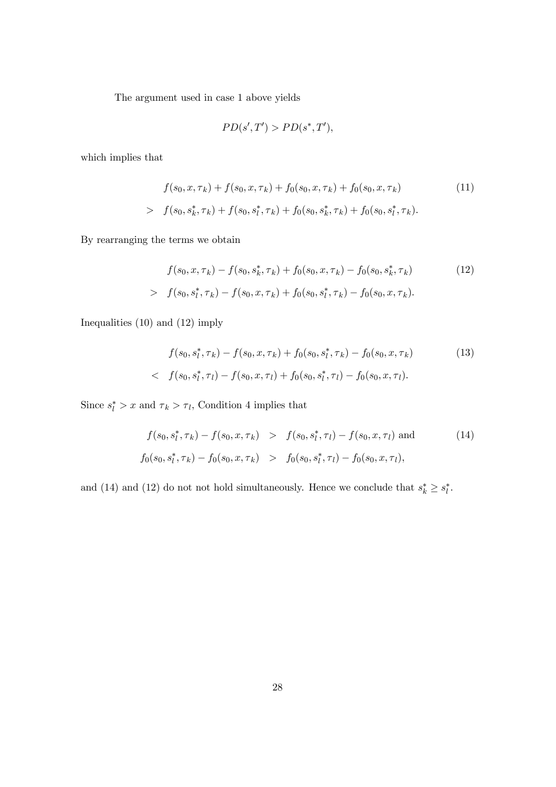The argument used in case 1 above yields

$$
PD(s',T') > PD(s^*,T'),
$$

which implies that

$$
f(s_0, x, \tau_k) + f(s_0, x, \tau_k) + f_0(s_0, x, \tau_k) + f_0(s_0, x, \tau_k)
$$
\n
$$
> f(s_0, s_k^*, \tau_k) + f(s_0, s_l^*, \tau_k) + f_0(s_0, s_k^*, \tau_k) + f_0(s_0, s_l^*, \tau_k).
$$
\n
$$
(11)
$$

By rearranging the terms we obtain

$$
f(s_0, x, \tau_k) - f(s_0, s_k^*, \tau_k) + f_0(s_0, x, \tau_k) - f_0(s_0, s_k^*, \tau_k)
$$
(12)  
> 
$$
f(s_0, s_l^*, \tau_k) - f(s_0, x, \tau_k) + f_0(s_0, s_l^*, \tau_k) - f_0(s_0, x, \tau_k).
$$

Inequalities (10) and (12) imply

$$
f(s_0, s_l^*, \tau_k) - f(s_0, x, \tau_k) + f_0(s_0, s_l^*, \tau_k) - f_0(s_0, x, \tau_k)
$$
(13)  

$$
\langle f(s_0, s_l^*, \tau_l) - f(s_0, x, \tau_l) + f_0(s_0, s_l^*, \tau_l) - f_0(s_0, x, \tau_l).
$$

Since  $s_l^* > x$  and  $\tau_k > \tau_l$ , Condition 4 implies that

$$
f(s_0, s_l^*, \tau_k) - f(s_0, x, \tau_k) > f(s_0, s_l^*, \tau_l) - f(s_0, x, \tau_l)
$$
 and (14)  

$$
f_0(s_0, s_l^*, \tau_k) - f_0(s_0, x, \tau_k) > f_0(s_0, s_l^*, \tau_l) - f_0(s_0, x, \tau_l),
$$

and (14) and (12) do not not hold simultaneously. Hence we conclude that  $s_k^* \geq s_l^*$ .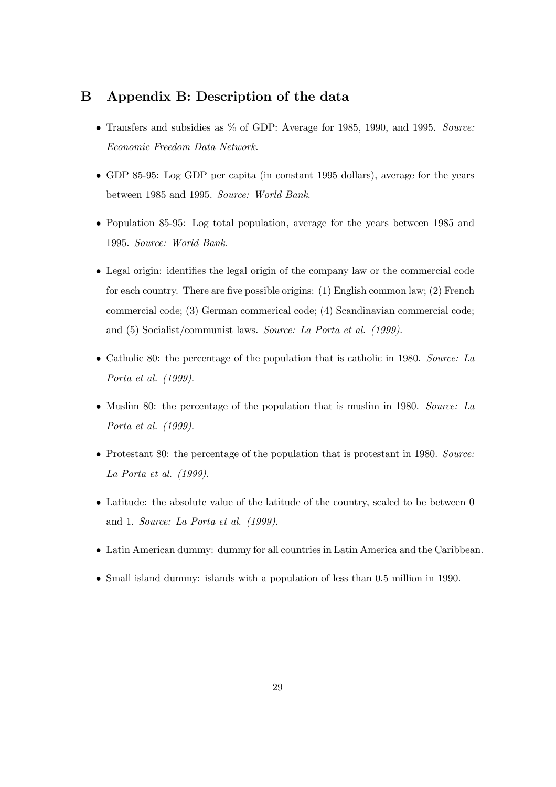#### B Appendix B: Description of the data

- Transfers and subsidies as % of GDP: Average for 1985, 1990, and 1995. Source: Economic Freedom Data Network.
- GDP 85-95: Log GDP per capita (in constant 1995 dollars), average for the years between 1985 and 1995. Source: World Bank.
- Population 85-95: Log total population, average for the years between 1985 and 1995. Source: World Bank.
- Legal origin: identifies the legal origin of the company law or the commercial code for each country. There are five possible origins: (1) English common law; (2) French commercial code; (3) German commerical code; (4) Scandinavian commercial code; and (5) Socialist/communist laws. Source: La Porta et al. (1999).
- Catholic 80: the percentage of the population that is catholic in 1980. Source: La Porta et al. (1999).
- Muslim 80: the percentage of the population that is muslim in 1980. Source: La Porta et al. (1999).
- Protestant 80: the percentage of the population that is protestant in 1980. Source: La Porta et al. (1999).
- Latitude: the absolute value of the latitude of the country, scaled to be between 0 and 1. Source: La Porta et al. (1999).
- Latin American dummy: dummy for all countries in Latin America and the Caribbean.
- Small island dummy: islands with a population of less than 0.5 million in 1990.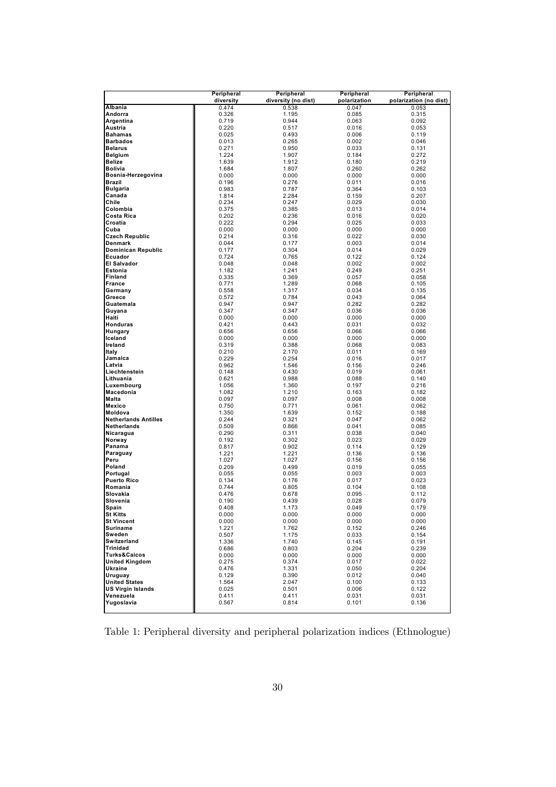|                                                  | Peripheral     | Peripheral          | Peripheral     | Peripheral             |
|--------------------------------------------------|----------------|---------------------|----------------|------------------------|
|                                                  | diversity      | diversity (no dist) | polarization   | polarization (no dist) |
| Albania                                          | 0.474          | 0.538               | 0.047          | 0.053                  |
| Andorra                                          | 0.326          | 1.195               | 0.085          | 0.315                  |
| Argentina                                        | 0.719          | 0.944               | 0.063          | 0.092                  |
| Austria                                          | 0.220          | 0.517               | 0.016          | 0.053                  |
| <b>Bahamas</b><br><b>Barbados</b>                | 0.025<br>0.013 | 0.493               | 0.006          | 0.119                  |
| <b>Belarus</b>                                   | 0.271          | 0.265<br>0.950      | 0.002<br>0.033 | 0.046<br>0.131         |
| <b>Belgium</b>                                   | 1.224          | 1.907               | 0.184          | 0.272                  |
| <b>Belize</b>                                    | 1.639          | 1.912               | 0.180          | 0.219                  |
| <b>Bolivia</b>                                   | 1.684          | 1.807               | 0.260          | 0.262                  |
| Bosnia-Herzegovina                               | 0.000          | 0.000               | 0.000          | 0.000                  |
| <b>Brazil</b>                                    | 0.196          | 0.276               | 0.011          | 0.016                  |
| <b>Bulgaria</b>                                  | 0.983          | 0.787               | 0.364          | 0.103                  |
| Canada                                           | 1.814          | 2.284               | 0.159          | 0.207                  |
| Chile                                            | 0.234          | 0.247               | 0.029          | 0.030                  |
| Colombia                                         | 0.375          | 0.385               | 0.013          | 0.014                  |
| Costa Rica                                       | 0.202          | 0.236               | 0.016          | 0.020                  |
| Croatia                                          | 0.222          | 0.294               | 0.025          | 0.033                  |
| Cuba                                             | 0.000          | 0.000               | 0.000          | 0.000                  |
| <b>Czech Republic</b>                            | 0.214          | 0.316               | 0.022          | 0.030                  |
| Denmark                                          | 0.044          | 0.177               | 0.003          | 0.014                  |
| <b>Dominican Republic</b>                        | 0.177          | 0.304               | 0.014          | 0.029                  |
| Ecuador                                          | 0.724          | 0.765               | 0.122          | 0.124                  |
| <b>El Salvador</b>                               | 0.048          | 0.048               | 0.002          | 0.002                  |
| Estonia                                          | 1.182          | 1.241               | 0.249          | 0.251                  |
| <b>Finland</b>                                   | 0.335          | 0.369               | 0.057          | 0.058                  |
| <b>France</b>                                    | 0.771          | 1.289               | 0.068          | 0.105                  |
| Germany                                          | 0.558          | 1.317               | 0.034          | 0.135                  |
| Greece                                           | 0.572          | 0.784               | 0.043          | 0.064                  |
| Guatemala                                        | 0.947          | 0.947               | 0.282          | 0.282                  |
| Guyana<br>Haiti                                  | 0.347<br>0.000 | 0.347<br>0.000      | 0.036<br>0.000 | 0.036<br>0.000         |
| <b>Honduras</b>                                  | 0.421          | 0.443               | 0.031          | 0.032                  |
| Hungary                                          | 0.656          | 0.656               | 0.066          | 0.066                  |
| Iceland                                          | 0.000          | 0.000               | 0.000          | 0.000                  |
| Ireland                                          | 0.319          | 0.388               | 0.068          | 0.083                  |
| Italy                                            | 0.210          | 2.170               | 0.011          | 0.169                  |
| Jamaica                                          | 0.229          | 0.254               | 0.016          | 0.017                  |
| Latvia                                           | 0.962          | 1.546               | 0.156          | 0.246                  |
| Liechtenstein                                    | 0.148          | 0.430               | 0.019          | 0.061                  |
| Lithuania                                        | 0.621          | 0.988               | 0.088          | 0.140                  |
| Luxembourg                                       | 1.056          | 1.360               | 0.197          | 0.216                  |
| Macedonia                                        | 1.082          | 1.210               | 0.163          | 0.182                  |
| Malta                                            | 0.097          | 0.097               | 0.008          | 0.008                  |
| Mexico                                           | 0.750          | 0.771               | 0.061          | 0.062                  |
| Moldova                                          | 1.350          | 1.639               | 0.152          | 0.188                  |
| <b>Netherlands Antilles</b>                      | 0.244          | 0.321               | 0.047          | 0.062                  |
| Netherlands                                      | 0.509          | 0.866               | 0.041          | 0.085                  |
| Nicaragua                                        | 0.290<br>0.192 | 0.311               | 0.038          | 0.040                  |
| Norway<br>Panama                                 | 0.817          | 0.302<br>0.902      | 0.023<br>0.114 | 0.029<br>0.129         |
| Paraguay                                         | 1.221          | 1.221               | 0.136          | 0.136                  |
| Peru                                             | 1.027          | 1.027               | 0.156          | 0.156                  |
| Poland                                           | 0.209          | 0.499               | 0.019          | 0.055                  |
| Portugal                                         | 0.055          | 0.055               | 0.003          | 0.003                  |
| <b>Puerto Rico</b>                               | 0.134          | 0.176               | 0.017          | 0.023                  |
| Romania                                          | 0.744          | 0.805               | 0.104          | 0.108                  |
| Slovakia                                         | 0.476          | 0.678               | 0.095          | 0.112                  |
| Slovenia                                         | 0.190          | 0.439               | 0.028          | 0.079                  |
| Spain                                            | 0.408          | 1.173               | 0.049          | 0.179                  |
| <b>St Kitts</b>                                  | 0.000          | 0.000               | 0.000          | 0.000                  |
| <b>St Vincent</b>                                | 0.000          | 0.000               | 0.000          | 0.000                  |
| Suriname                                         | 1.221          | 1.762               | 0.152          | 0.246                  |
| Sweden                                           | 0.507          | 1.175               | 0.033          | 0.154                  |
| Switzerland                                      | 1.336          | 1.740               | 0.145          | 0.191                  |
| <b>Trinidad</b>                                  | 0.686          | 0.803               | 0.204          | 0.239                  |
| <b>Turks&amp;Caicos</b><br><b>United Kingdom</b> | 0.000<br>0.275 | 0.000<br>0.374      | 0.000<br>0.017 | 0.000<br>0.022         |
| Ukraine                                          | 0.476          | 1.331               | 0.050          | 0.204                  |
| Uruguay                                          | 0.129          | 0.390               | 0.012          | 0.040                  |
| <b>United States</b>                             | 1.564          | 2.047               | 0.100          | 0.133                  |
| <b>US Virgin Islands</b>                         | 0.025          | 0.501               | 0.006          | 0.122                  |
| Venezuela                                        | 0.411          | 0.411               | 0.031          | 0.031                  |
| Yugoslavia                                       | 0.567          | 0.814               | 0.101          | 0.136                  |
|                                                  |                |                     |                |                        |

Table 1: Peripheral diversity and peripheral polarization indices (Ethnologue)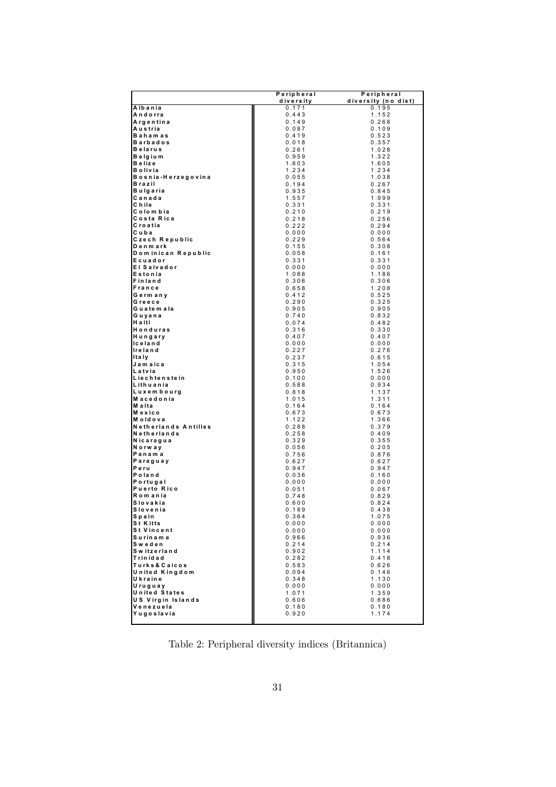|                                      | Peripheral     | Peripheral          |
|--------------------------------------|----------------|---------------------|
|                                      | diversity      | diversity (no dist) |
| Albania                              | 0.171          | 0.195               |
| Andorra                              | 0.443          | 1.152               |
| Airgentina                           | 0.149          | 0.268               |
| Austria<br><b>Bahamas</b>            | 0.087<br>0.419 | 0.109               |
| <b>Barbados</b>                      | 0.018          | 0.523<br>0.357      |
| <b>Belarus</b>                       | 0.261          | 1.028               |
| Belgium                              | 0.959          | 1.322               |
| <b>Belize</b>                        | 1.603          | 1.605               |
| Bolivia                              | 1.234          | 1.234               |
| Bosnia-Herzegovina                   | 0.055          | 1.038               |
| Brazil                               | 0.194          | 0.267               |
| Bulgaria                             | 0.935          | 0.845               |
| Canada<br>Chile                      | 1.557<br>0.331 | 1.999<br>0.331      |
| Colombia                             | 0.210          | 0.219               |
| Costa Rica                           | 0.218          | 0.256               |
| Croatia                              | 0.222          | 0.294               |
| Cuba                                 | 0.000          | 0.000               |
| Czech Republic                       | 0.229          | 0.564               |
| Denmark                              | 0.155          | 0.308               |
| Dominican Republic                   | 0.058          | 0.161               |
| Ecuador<br><b>El Salvador</b>        | 0.331<br>0.000 | 0.331<br>0.000      |
| Estonia                              | 1.088          | 1.186               |
| Finland                              | 0.306          | 0.306               |
| France                               | 0.658          | 1.208               |
| Germany                              | 0.412          | 0.525               |
| Greece                               | 0.290          | 0.325               |
| Guatemala                            | 0.905          | 0.905               |
| Guyana<br><b>Haiti</b>               | 0.740          | 0.832               |
| Honduras                             | 0.074<br>0.316 | 0.482<br>0.330      |
| Hungary                              | 0.407          | 0.407               |
| lic e la n d                         | 0.000          | 0.000               |
| <b>Ireland</b>                       | 0.227          | 0.276               |
| Ita Iy                               | 0.237          | 0.615               |
| Jamaica                              | 0.315          | 1.054               |
| Latvia<br>Liechtenstein              | 0.950<br>0.100 | 1.526<br>0.000      |
| Lithuania                            | 0.588          | 0.934               |
| Luxem bourg                          | 0.818          | 1.137               |
| Macedonia                            | 1.015          | 1.311               |
| lM a Ita                             | 0.164          | 0.164               |
| Mexico                               | 0.673          | 0.673               |
| Moldova<br>Netherlands Antilles      | 1.122<br>0.288 | 1.366<br>0.379      |
| Netherlands                          | 0.258          | 0.409               |
| Nicaragua                            | 0.329          | 0.355               |
| Norway                               | 0.056          | 0.205               |
| Panama                               | 0.756          | 0.876               |
| Paraguay                             | 0.627          | 0.627               |
| Peru<br>Poland                       | 0.947<br>0.036 | 0.947<br>0.160      |
| Portugal                             | 0.000          | 0.000               |
| <b>Puerto Rico</b>                   | 0.051          | 0.067               |
| Romania                              | 0.748          | 0.829               |
| Slovakia                             | 0.600          | 0.824               |
| Slovenia                             | 0.189          | 0.438               |
| Spain                                | 0.364          | 1.075               |
| <b>St Kitts</b><br><b>St Vincent</b> | 0.000<br>0.000 | 0.000<br>0.000      |
| Suriname                             | 0.966          | 0.936               |
| Sweden                               | 0.214          | 0.214               |
| Switzerland                          | 0.902          | 1.114               |
| Trinidad                             | 0.282          | 0.418               |
| Turks& Caicos                        | 0.583          | 0.626               |
| United Kingdom                       | 0.094          | 0.146               |
| Ukraine                              | 0.348          | 1.130               |
| Uruguay<br><b>United States</b>      | 0.000<br>1.071 | 0.000<br>1.359      |
| <b>US Virgin Islands</b>             | 0.606          | 0.686               |
| Venezuela                            | 0.180          | 0.180               |
| Yugoslavia                           | 0.920          | 1.174               |
|                                      |                |                     |

Table 2: Peripheral diversity indices (Britannica)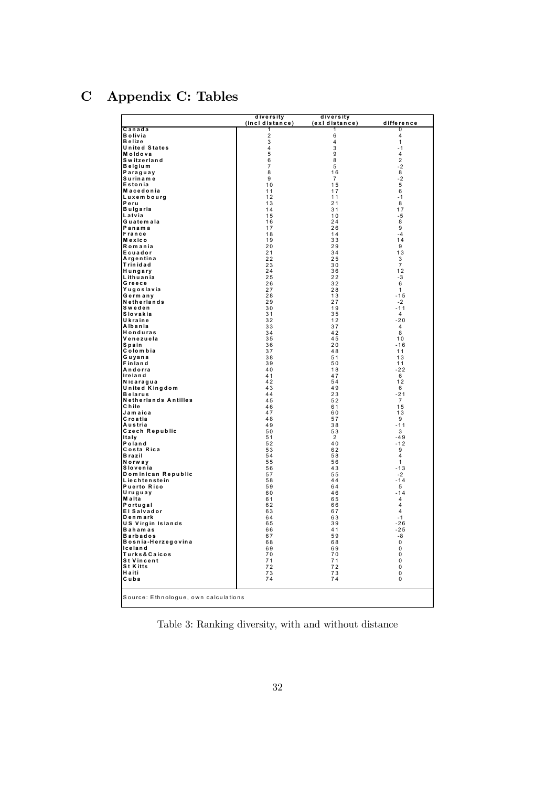# C Appendix C: Tables

|                                               | diversity<br>(incl distance) | diversity<br>(exidistance) | difference    |
|-----------------------------------------------|------------------------------|----------------------------|---------------|
| Canada                                        | 1                            | 1                          | 0             |
| <b>Bolivia</b><br>Belize                      | 2<br>3                       | 6<br>4                     | 4<br>1        |
| <b>United States</b>                          | 4                            | 3                          | -1            |
| Moldova<br>Switzerland                        | 5<br>6                       | 9<br>8                     | 4<br>2        |
| Belgium                                       | 7                            | 5                          | $-2$          |
| Paraguay                                      | 8                            | 16                         | 8             |
| Suriname<br>Estonia                           | 9<br>10                      | 7<br>15                    | $-2$<br>5     |
| Macedonia                                     | 11                           | 17                         | 6             |
| <b>Luxembourg</b>                             | 12                           | 11                         | - 1           |
| Peru<br>Bulgaria                              | 13<br>14                     | 21<br>31                   | 8<br>17       |
| Latvia                                        | 15                           | 10                         | -5            |
| Guatemala<br>Panama                           | 16<br>17                     | 24<br>26                   | 8<br>9        |
| <b>IFrance</b>                                | 18                           | 14                         | -4            |
| Mexico                                        | 19                           | 33                         | 14            |
| Romania<br>Ecuador                            | 20<br>21                     | 29<br>34                   | 9<br>13       |
| Argentina                                     | 22                           | 25                         | 3             |
| Trinidad<br>Hungary                           | 23<br>24                     | 30<br>36                   | 7<br>12       |
| Lithuania                                     | 25                           | 22                         | -3            |
| Greece                                        | 26                           | 32                         | 6             |
| Yugoslavia<br>Germany                         | 27<br>28                     | 28<br>13                   | 1<br>-15      |
| Netherlands                                   | 29                           | 27                         | $-2$          |
| Sweden<br>Slovakia                            | 30<br>31                     | 19<br>35                   | $-11$<br>4    |
| Ukraine                                       | 32                           | 12                         | $-20$         |
| Albania                                       | 33                           | 37                         | 4             |
| Honduras<br>Venezuela                         | 34<br>35                     | 42<br>45                   | 8<br>10       |
| Spain                                         | 36                           | 20                         | -16           |
| Colombia<br>Guyana                            | 37<br>38                     | 48<br>51                   | 11<br>13      |
| Finland                                       | 39                           | 50                         | 11            |
| Andorra<br>Ireland                            | 40<br>41                     | 18<br>47                   | -22<br>6      |
| Nicaragua                                     | 42                           | 54                         | 12            |
| United Kingdom                                | 43                           | 49                         | 6             |
| <b>Belarus</b><br><b>Netherlands Antilles</b> | 44<br>45                     | 23<br>52                   | $-21$<br>7    |
| Chile                                         | 46                           | 61                         | 15            |
| Jamaica<br>Croatia                            | 47<br>48                     | 60<br>57                   | 13<br>9       |
| Austria                                       | 49                           | 38                         | $-11$         |
| Czech Republic                                | 50                           | 53                         | 3             |
| <b>Italy</b><br>Poland                        | 51<br>52                     | 2<br>40                    | -49<br>$-12$  |
| Costa Rica                                    | 53                           | 62                         | 9             |
| Brazil<br>Norway                              | 54<br>55                     | 58<br>56                   | 4<br>1        |
| Slovenia                                      | 56                           | 43                         | -13           |
| Dominican Republic                            | 57<br>58                     | 55<br>44                   | $-2$<br>$-14$ |
| Liechtenstein<br><b>Puerto Rico</b>           | 59                           | 64                         | 5             |
| Uruguay                                       | 60                           | 46                         | $-14$         |
| Malta<br>Portugal                             | 61<br>62                     | 65<br>66                   | 4<br>4        |
| <b>El Salvador</b>                            | 63                           | 67                         | 4             |
| Denmark<br><b>US Virgin Islands</b>           | 64<br>65                     | 63<br>39                   | $-1$<br>$-26$ |
| <b>Bahamas</b>                                | 66                           | 41                         | $-25$         |
| <b>Barbados</b>                               | 67                           | 59                         | -8            |
| Bosnia-Herzegovina<br>lceland                 | 68<br>69                     | 68<br>69                   | 0<br>0        |
| Turks&Caicos                                  | 70                           | 70                         | 0             |
| <b>St Vincent</b><br><b>St Kitts</b>          | 71<br>72                     | 71<br>72                   | 0<br>0        |
| Haiti                                         | 73                           | 73                         | 0             |
| Cuba                                          | 74                           | 74                         | 0             |
| Source: Ethnologue, own calculations          |                              |                            |               |

Table 3: Ranking diversity, with and without distance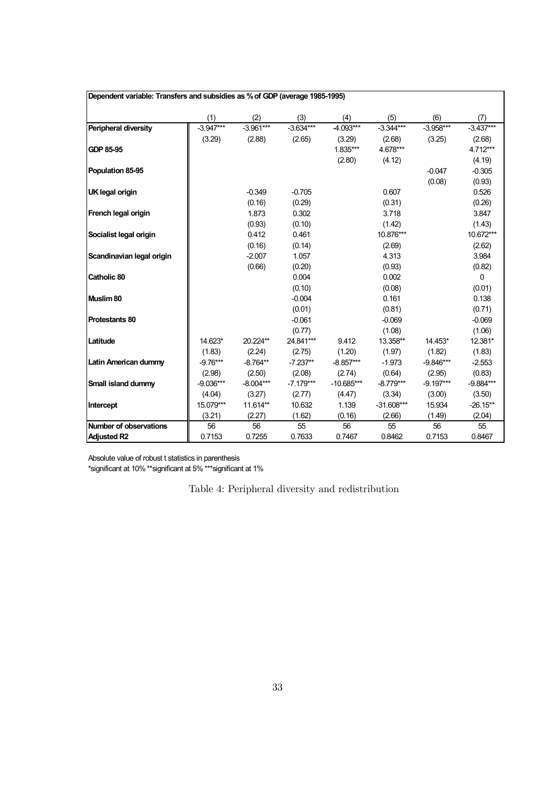| Dependent variable: Transfers and subsidies as % of GDP (average 1985-1995) |             |             |             |              |              |             |             |  |  |
|-----------------------------------------------------------------------------|-------------|-------------|-------------|--------------|--------------|-------------|-------------|--|--|
|                                                                             | (1)         | (2)         | (3)         | (4)          | (5)          | (6)         | (7)         |  |  |
| Peripheral diversity                                                        | $-3.947***$ | $-3.961***$ | $-3.634***$ | $-4.093***$  | $-3.344***$  | $-3.958***$ | $-3.437***$ |  |  |
|                                                                             | (3.29)      | (2.88)      | (2.65)      | (3.29)       | (2.68)       | (3.25)      | (2.68)      |  |  |
| <b>GDP 85-95</b>                                                            |             |             |             | 1.835***     | 4.678***     |             | 4.712***    |  |  |
|                                                                             |             |             |             | (2.80)       | (4.12)       |             | (4.19)      |  |  |
| Population 85-95                                                            |             |             |             |              |              | $-0.047$    | $-0.305$    |  |  |
|                                                                             |             |             |             |              |              | (0.08)      | (0.93)      |  |  |
| <b>UK legal origin</b>                                                      |             | $-0.349$    | $-0.705$    |              | 0.607        |             | 0.526       |  |  |
|                                                                             |             | (0.16)      | (0.29)      |              | (0.31)       |             | (0.26)      |  |  |
| French legal origin                                                         |             | 1.873       | 0.302       |              | 3.718        |             | 3.847       |  |  |
|                                                                             |             | (0.93)      | (0.10)      |              | (1.42)       |             | (1.43)      |  |  |
| Socialist legal origin                                                      |             | 0.412       | 0.461       |              | 10.876***    |             | 10.672***   |  |  |
|                                                                             |             | (0.16)      | (0.14)      |              | (2.69)       |             | (2.62)      |  |  |
| Scandinavian legal origin                                                   |             | $-2.007$    | 1.057       |              | 4.313        |             | 3.984       |  |  |
|                                                                             |             | (0.66)      | (0.20)      |              | (0.93)       |             | (0.82)      |  |  |
| <b>Catholic 80</b>                                                          |             |             | 0.004       |              | 0.002        |             | 0           |  |  |
|                                                                             |             |             | (0.10)      |              | (0.08)       |             | (0.01)      |  |  |
| Muslim 80                                                                   |             |             | $-0.004$    |              | 0.161        |             | 0.138       |  |  |
|                                                                             |             |             | (0.01)      |              | (0.81)       |             | (0.71)      |  |  |
| <b>Protestants 80</b>                                                       |             |             | $-0.061$    |              | $-0.069$     |             | $-0.069$    |  |  |
|                                                                             |             |             | (0.77)      |              | (1.08)       |             | (1.06)      |  |  |
| Latitude                                                                    | 14.623*     | 20.224**    | 24.841***   | 9.412        | 13.358**     | 14.453*     | 12.381*     |  |  |
|                                                                             | (1.83)      | (2.24)      | (2.75)      | (1.20)       | (1.97)       | (1.82)      | (1.83)      |  |  |
| Latin American dummy                                                        | $-9.76***$  | $-8.764**$  | $-7.237**$  | $-8.857***$  | $-1.973$     | $-9.846***$ | $-2.553$    |  |  |
|                                                                             | (2.98)      | (2.50)      | (2.08)      | (2.74)       | (0.64)       | (2.95)      | (0.83)      |  |  |
| Small island dummy                                                          | $-9.036***$ | $-8.004***$ | $-7.179***$ | $-10.685***$ | $-8.779***$  | $-9.197***$ | $-9.884***$ |  |  |
|                                                                             | (4.04)      | (3.27)      | (2.77)      | (4.47)       | (3.34)       | (3.00)      | (3.50)      |  |  |
| Intercept                                                                   | 15.079***   | 11.614**    | 10.632      | 1.139        | $-31.608***$ | 15.934      | $-26.15**$  |  |  |
|                                                                             | (3.21)      | (2.27)      | (1.62)      | (0.16)       | (2.66)       | (1.49)      | (2.04)      |  |  |
| Number of observations                                                      | 56          | 56          | 55          | 56           | 55           | 56          | 55          |  |  |
| <b>Adjusted R2</b>                                                          | 0.7153      | 0.7255      | 0.7633      | 0.7467       | 0.8462       | 0.7153      | 0.8467      |  |  |

\*significant at 10% \*\*significant at 5% \*\*\*significant at 1%

Table 4: Peripheral diversity and redistribution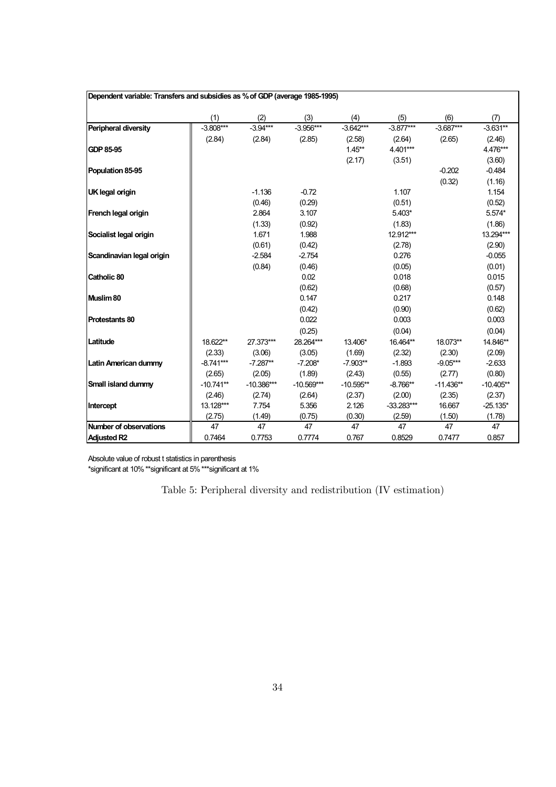| Dependent variable: Transfers and subsidies as % of GDP (average 1985-1995) |             |              |              |             |              |             |             |
|-----------------------------------------------------------------------------|-------------|--------------|--------------|-------------|--------------|-------------|-------------|
|                                                                             | (1)         | (2)          | (3)          | (4)         | (5)          | (6)         | (7)         |
| Peripheral diversity                                                        | $-3.808***$ | $-3.94***$   | $-3.956***$  | $-3.642***$ | $-3.877***$  | $-3.687***$ | $-3.631**$  |
|                                                                             | (2.84)      | (2.84)       | (2.85)       | (2.58)      | (2.64)       | (2.65)      | (2.46)      |
| <b>GDP 85-95</b>                                                            |             |              |              | $1.45***$   | 4.401***     |             | 4.476***    |
|                                                                             |             |              |              | (2.17)      | (3.51)       |             | (3.60)      |
| Population 85-95                                                            |             |              |              |             |              | $-0.202$    | $-0.484$    |
|                                                                             |             |              |              |             |              | (0.32)      | (1.16)      |
| <b>UK legal origin</b>                                                      |             | $-1.136$     | $-0.72$      |             | 1.107        |             | 1.154       |
|                                                                             |             | (0.46)       | (0.29)       |             | (0.51)       |             | (0.52)      |
| French legal origin                                                         |             | 2.864        | 3.107        |             | 5.403*       |             | 5.574*      |
|                                                                             |             | (1.33)       | (0.92)       |             | (1.83)       |             | (1.86)      |
| Socialist legal origin                                                      |             | 1.671        | 1.988        |             | 12.912***    |             | 13.294***   |
|                                                                             |             | (0.61)       | (0.42)       |             | (2.78)       |             | (2.90)      |
| Scandinavian legal origin                                                   |             | $-2.584$     | $-2.754$     |             | 0.276        |             | $-0.055$    |
|                                                                             |             | (0.84)       | (0.46)       |             | (0.05)       |             | (0.01)      |
| Catholic 80                                                                 |             |              | 0.02         |             | 0.018        |             | 0.015       |
|                                                                             |             |              | (0.62)       |             | (0.68)       |             | (0.57)      |
| Muslim 80                                                                   |             |              | 0.147        |             | 0.217        |             | 0.148       |
|                                                                             |             |              | (0.42)       |             | (0.90)       |             | (0.62)      |
| <b>Protestants 80</b>                                                       |             |              | 0.022        |             | 0.003        |             | 0.003       |
|                                                                             |             |              | (0.25)       |             | (0.04)       |             | (0.04)      |
| Latitude                                                                    | 18.622**    | 27.373***    | 28.264***    | 13.406*     | 16.464**     | 18.073**    | 14.846**    |
|                                                                             | (2.33)      | (3.06)       | (3.05)       | (1.69)      | (2.32)       | (2.30)      | (2.09)      |
| <b>Latin American dummy</b>                                                 | $-8.741***$ | $-7.287**$   | $-7.208*$    | $-7.903**$  | $-1.893$     | $-9.05***$  | $-2.633$    |
|                                                                             | (2.65)      | (2.05)       | (1.89)       | (2.43)      | (0.55)       | (2.77)      | (0.80)      |
| Small island dummy                                                          | $-10.741**$ | $-10.386***$ | $-10.569***$ | $-10.595**$ | $-8.766**$   | $-11.436**$ | $-10.405**$ |
|                                                                             | (2.46)      | (2.74)       | (2.64)       | (2.37)      | (2.00)       | (2.35)      | (2.37)      |
| Intercept                                                                   | 13.128***   | 7.754        | 5.356        | 2.126       | $-33.283***$ | 16.667      | $-25.135*$  |
|                                                                             | (2.75)      | (1.49)       | (0.75)       | (0.30)      | (2.59)       | (1.50)      | (1.78)      |
| <b>Number of observations</b>                                               | 47          | 47           | 47           | 47          | 47           | 47          | 47          |
| <b>Adjusted R2</b>                                                          | 0.7464      | 0.7753       | 0.7774       | 0.767       | 0.8529       | 0.7477      | 0.857       |

\*significant at 10% \*\*significant at 5% \*\*\*significant at 1%

Table 5: Peripheral diversity and redistribution (IV estimation)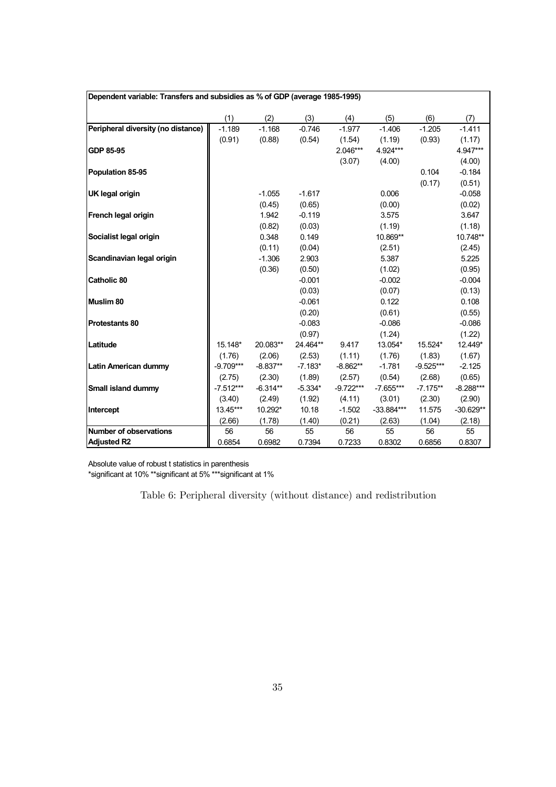|                                    | Dependent variable: Transfers and subsidies as % of GDP (average 1985-1995) |            |           |             |              |             |             |  |  |  |
|------------------------------------|-----------------------------------------------------------------------------|------------|-----------|-------------|--------------|-------------|-------------|--|--|--|
|                                    | (1)                                                                         | (2)        | (3)       | (4)         | (5)          | (6)         | (7)         |  |  |  |
| Peripheral diversity (no distance) | $-1.189$                                                                    | $-1.168$   | $-0.746$  | $-1.977$    | $-1.406$     | $-1.205$    | $-1.411$    |  |  |  |
|                                    | (0.91)                                                                      | (0.88)     | (0.54)    | (1.54)      | (1.19)       | (0.93)      | (1.17)      |  |  |  |
| GDP 85-95                          |                                                                             |            |           | 2.046***    | 4.924***     |             | 4.947***    |  |  |  |
|                                    |                                                                             |            |           | (3.07)      | (4.00)       |             | (4.00)      |  |  |  |
| Population 85-95                   |                                                                             |            |           |             |              | 0.104       | $-0.184$    |  |  |  |
|                                    |                                                                             |            |           |             |              | (0.17)      | (0.51)      |  |  |  |
| <b>UK legal origin</b>             |                                                                             | $-1.055$   | $-1.617$  |             | 0.006        |             | $-0.058$    |  |  |  |
|                                    |                                                                             | (0.45)     | (0.65)    |             | (0.00)       |             | (0.02)      |  |  |  |
| French legal origin                |                                                                             | 1.942      | $-0.119$  |             | 3.575        |             | 3.647       |  |  |  |
|                                    |                                                                             | (0.82)     | (0.03)    |             | (1.19)       |             | (1.18)      |  |  |  |
| Socialist legal origin             |                                                                             | 0.348      | 0.149     |             | 10.869**     |             | 10.748**    |  |  |  |
|                                    |                                                                             | (0.11)     | (0.04)    |             | (2.51)       |             | (2.45)      |  |  |  |
| Scandinavian legal origin          |                                                                             | $-1.306$   | 2.903     |             | 5.387        |             | 5.225       |  |  |  |
|                                    |                                                                             | (0.36)     | (0.50)    |             | (1.02)       |             | (0.95)      |  |  |  |
| <b>Catholic 80</b>                 |                                                                             |            | $-0.001$  |             | $-0.002$     |             | $-0.004$    |  |  |  |
|                                    |                                                                             |            | (0.03)    |             | (0.07)       |             | (0.13)      |  |  |  |
| Muslim <sub>80</sub>               |                                                                             |            | $-0.061$  |             | 0.122        |             | 0.108       |  |  |  |
|                                    |                                                                             |            | (0.20)    |             | (0.61)       |             | (0.55)      |  |  |  |
| <b>Protestants 80</b>              |                                                                             |            | $-0.083$  |             | $-0.086$     |             | $-0.086$    |  |  |  |
|                                    |                                                                             |            | (0.97)    |             | (1.24)       |             | (1.22)      |  |  |  |
| Latitude                           | 15.148*                                                                     | 20.083**   | 24.464**  | 9.417       | 13.054*      | 15.524*     | 12.449*     |  |  |  |
|                                    | (1.76)                                                                      | (2.06)     | (2.53)    | (1.11)      | (1.76)       | (1.83)      | (1.67)      |  |  |  |
| <b>Latin American dummy</b>        | $-9.709***$                                                                 | $-8.837**$ | $-7.183*$ | $-8.862**$  | $-1.781$     | $-9.525***$ | $-2.125$    |  |  |  |
|                                    | (2.75)                                                                      | (2.30)     | (1.89)    | (2.57)      | (0.54)       | (2.68)      | (0.65)      |  |  |  |
| Small island dummy                 | $-7.512***$                                                                 | $-6.314**$ | $-5.334*$ | $-9.722***$ | $-7.655***$  | $-7.175**$  | $-8.288***$ |  |  |  |
|                                    | (3.40)                                                                      | (2.49)     | (1.92)    | (4.11)      | (3.01)       | (2.30)      | (2.90)      |  |  |  |
| Intercept                          | 13.45***                                                                    | 10.292*    | 10.18     | $-1.502$    | $-33.884***$ | 11.575      | $-30.629**$ |  |  |  |
|                                    | (2.66)                                                                      | (1.78)     | (1.40)    | (0.21)      | (2.63)       | (1.04)      | (2.18)      |  |  |  |
| Number of observations             | 56                                                                          | 56         | 55        | 56          | 55           | 56          | 55          |  |  |  |
| <b>Adjusted R2</b>                 | 0.6854                                                                      | 0.6982     | 0.7394    | 0.7233      | 0.8302       | 0.6856      | 0.8307      |  |  |  |

\*significant at 10% \*\*significant at 5% \*\*\*significant at 1%

Table 6: Peripheral diversity (without distance) and redistribution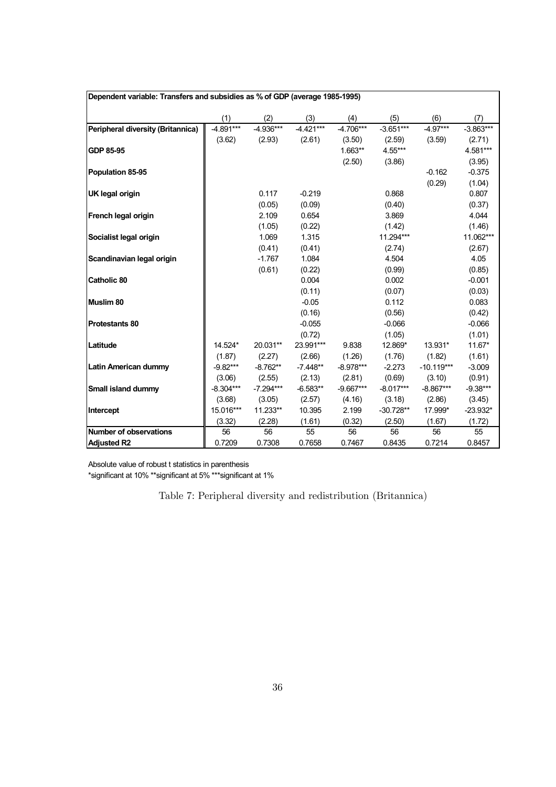| Dependent variable: Transfers and subsidies as % of GDP (average 1985-1995) |             |             |             |             |             |              |             |  |  |
|-----------------------------------------------------------------------------|-------------|-------------|-------------|-------------|-------------|--------------|-------------|--|--|
|                                                                             | (1)         | (2)         | (3)         | (4)         | (5)         | (6)          | (7)         |  |  |
| Peripheral diversity (Britannica)                                           | $-4.891***$ | $-4.936***$ | $-4.421***$ | $-4.706***$ | $-3.651***$ | $-4.97***$   | $-3.863***$ |  |  |
|                                                                             | (3.62)      | (2.93)      | (2.61)      | (3.50)      | (2.59)      | (3.59)       | (2.71)      |  |  |
| GDP 85-95                                                                   |             |             |             | $1.663**$   | 4.55***     |              | 4.581***    |  |  |
|                                                                             |             |             |             | (2.50)      | (3.86)      |              | (3.95)      |  |  |
| Population 85-95                                                            |             |             |             |             |             | $-0.162$     | $-0.375$    |  |  |
|                                                                             |             |             |             |             |             | (0.29)       | (1.04)      |  |  |
| <b>UK legal origin</b>                                                      |             | 0.117       | $-0.219$    |             | 0.868       |              | 0.807       |  |  |
|                                                                             |             | (0.05)      | (0.09)      |             | (0.40)      |              | (0.37)      |  |  |
| French legal origin                                                         |             | 2.109       | 0.654       |             | 3.869       |              | 4.044       |  |  |
|                                                                             |             | (1.05)      | (0.22)      |             | (1.42)      |              | (1.46)      |  |  |
| Socialist legal origin                                                      |             | 1.069       | 1.315       |             | 11.294***   |              | 11.062***   |  |  |
|                                                                             |             | (0.41)      | (0.41)      |             | (2.74)      |              | (2.67)      |  |  |
| Scandinavian legal origin                                                   |             | $-1.767$    | 1.084       |             | 4.504       |              | 4.05        |  |  |
|                                                                             |             | (0.61)      | (0.22)      |             | (0.99)      |              | (0.85)      |  |  |
| <b>Catholic 80</b>                                                          |             |             | 0.004       |             | 0.002       |              | $-0.001$    |  |  |
|                                                                             |             |             | (0.11)      |             | (0.07)      |              | (0.03)      |  |  |
| Muslim 80                                                                   |             |             | $-0.05$     |             | 0.112       |              | 0.083       |  |  |
|                                                                             |             |             | (0.16)      |             | (0.56)      |              | (0.42)      |  |  |
| <b>Protestants 80</b>                                                       |             |             | $-0.055$    |             | $-0.066$    |              | $-0.066$    |  |  |
|                                                                             |             |             | (0.72)      |             | (1.05)      |              | (1.01)      |  |  |
| Latitude                                                                    | 14.524*     | 20.031**    | 23.991***   | 9.838       | 12.869*     | 13.931*      | 11.67*      |  |  |
|                                                                             | (1.87)      | (2.27)      | (2.66)      | (1.26)      | (1.76)      | (1.82)       | (1.61)      |  |  |
| <b>Latin American dummy</b>                                                 | $-9.82***$  | $-8.762**$  | $-7.448**$  | $-8.978***$ | $-2.273$    | $-10.119***$ | $-3.009$    |  |  |
|                                                                             | (3.06)      | (2.55)      | (2.13)      | (2.81)      | (0.69)      | (3.10)       | (0.91)      |  |  |
| Small island dummy                                                          | $-8.304***$ | $-7.294***$ | $-6.583**$  | $-9.667***$ | $-8.017***$ | $-8.867***$  | $-9.38***$  |  |  |
|                                                                             | (3.68)      | (3.05)      | (2.57)      | (4.16)      | (3.18)      | (2.86)       | (3.45)      |  |  |
| Intercept                                                                   | 15.016***   | 11.233**    | 10.395      | 2.199       | $-30.728**$ | 17.999*      | $-23.932*$  |  |  |
|                                                                             | (3.32)      | (2.28)      | (1.61)      | (0.32)      | (2.50)      | (1.67)       | (1.72)      |  |  |
| <b>Number of observations</b>                                               | 56          | 56          | 55          | 56          | 56          | 56           | 55          |  |  |
| <b>Adjusted R2</b>                                                          | 0.7209      | 0.7308      | 0.7658      | 0.7467      | 0.8435      | 0.7214       | 0.8457      |  |  |

\*significant at 10% \*\*significant at 5% \*\*\*significant at 1%

Table 7: Peripheral diversity and redistribution (Britannica)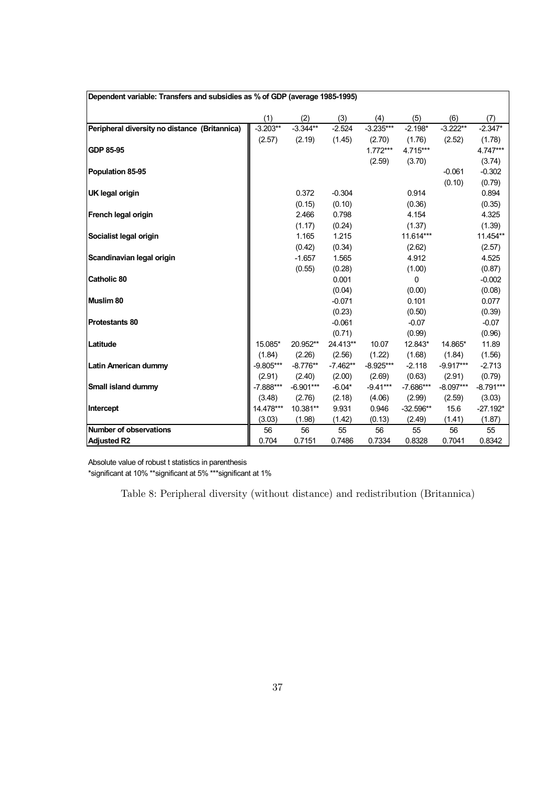| Dependent variable: Transfers and subsidies as % of GDP (average 1985-1995) |             |             |            |             |             |             |             |  |  |
|-----------------------------------------------------------------------------|-------------|-------------|------------|-------------|-------------|-------------|-------------|--|--|
|                                                                             | (1)         | (2)         | (3)        | (4)         | (5)         | (6)         | (7)         |  |  |
| Peripheral diversity no distance (Britannica)                               | $-3.203**$  | $-3.344**$  | $-2.524$   | $-3.235***$ | $-2.198*$   | $-3.222**$  | $-2.347*$   |  |  |
|                                                                             | (2.57)      | (2.19)      | (1.45)     | (2.70)      | (1.76)      | (2.52)      | (1.78)      |  |  |
| GDP 85-95                                                                   |             |             |            | $1.772***$  | 4.715***    |             | 4.747***    |  |  |
|                                                                             |             |             |            | (2.59)      | (3.70)      |             | (3.74)      |  |  |
| Population 85-95                                                            |             |             |            |             |             | $-0.061$    | $-0.302$    |  |  |
|                                                                             |             |             |            |             |             | (0.10)      | (0.79)      |  |  |
| <b>UK legal origin</b>                                                      |             | 0.372       | $-0.304$   |             | 0.914       |             | 0.894       |  |  |
|                                                                             |             | (0.15)      | (0.10)     |             | (0.36)      |             | (0.35)      |  |  |
| French legal origin                                                         |             | 2.466       | 0.798      |             | 4.154       |             | 4.325       |  |  |
|                                                                             |             | (1.17)      | (0.24)     |             | (1.37)      |             | (1.39)      |  |  |
| Socialist legal origin                                                      |             | 1.165       | 1.215      |             | 11.614***   |             | 11.454**    |  |  |
|                                                                             |             | (0.42)      | (0.34)     |             | (2.62)      |             | (2.57)      |  |  |
| Scandinavian legal origin                                                   |             | $-1.657$    | 1.565      |             | 4.912       |             | 4.525       |  |  |
|                                                                             |             | (0.55)      | (0.28)     |             | (1.00)      |             | (0.87)      |  |  |
| <b>Catholic 80</b>                                                          |             |             | 0.001      |             | 0           |             | $-0.002$    |  |  |
|                                                                             |             |             | (0.04)     |             | (0.00)      |             | (0.08)      |  |  |
| Muslim <sub>80</sub>                                                        |             |             | $-0.071$   |             | 0.101       |             | 0.077       |  |  |
|                                                                             |             |             | (0.23)     |             | (0.50)      |             | (0.39)      |  |  |
| <b>Protestants 80</b>                                                       |             |             | $-0.061$   |             | $-0.07$     |             | $-0.07$     |  |  |
|                                                                             |             |             | (0.71)     |             | (0.99)      |             | (0.96)      |  |  |
| Latitude                                                                    | 15.085*     | 20.952**    | 24.413**   | 10.07       | 12.843*     | 14.865*     | 11.89       |  |  |
|                                                                             | (1.84)      | (2.26)      | (2.56)     | (1.22)      | (1.68)      | (1.84)      | (1.56)      |  |  |
| <b>Latin American dummy</b>                                                 | $-9.805***$ | $-8.776**$  | $-7.462**$ | $-8.925***$ | $-2.118$    | $-9.917***$ | $-2.713$    |  |  |
|                                                                             | (2.91)      | (2.40)      | (2.00)     | (2.69)      | (0.63)      | (2.91)      | (0.79)      |  |  |
| Small island dummy                                                          | $-7.888***$ | $-6.901***$ | $-6.04*$   | $-9.41***$  | $-7.686***$ | $-8.097***$ | $-8.791***$ |  |  |
|                                                                             | (3.48)      | (2.76)      | (2.18)     | (4.06)      | (2.99)      | (2.59)      | (3.03)      |  |  |
| Intercept                                                                   | 14.478***   | 10.381**    | 9.931      | 0.946       | $-32.596**$ | 15.6        | $-27.192*$  |  |  |
|                                                                             | (3.03)      | (1.98)      | (1.42)     | (0.13)      | (2.49)      | (1.41)      | (1.87)      |  |  |
| <b>Number of observations</b>                                               | 56          | 56          | 55         | 56          | 55          | 56          | 55          |  |  |
| <b>Adjusted R2</b>                                                          | 0.704       | 0.7151      | 0.7486     | 0.7334      | 0.8328      | 0.7041      | 0.8342      |  |  |

\*significant at 10% \*\*significant at 5% \*\*\*significant at 1%

Table 8: Peripheral diversity (without distance) and redistribution (Britannica)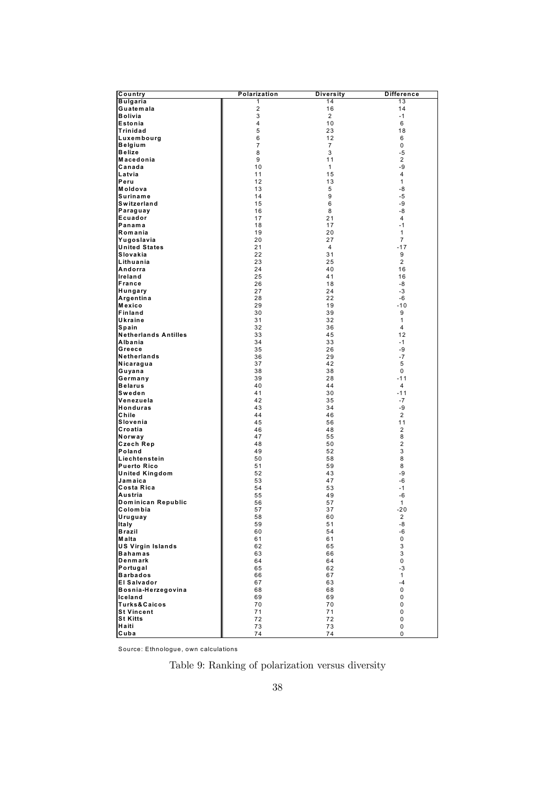| Country                     | Polarization   | Diversity      | <b>Difference</b> |
|-----------------------------|----------------|----------------|-------------------|
| <b>Bulgaria</b>             | 1              | 14             | 13                |
| Guatemala                   | 2              | 16             | 14                |
| <b>Bolivia</b>              | 3              | 2              | $-1$              |
| Estonia                     | 4              | 10             | 6                 |
| Trinidad                    | 5              | 23             | 18                |
| Luxembourg                  | 6              | 12             | 6                 |
| <b>Belgium</b>              | $\overline{7}$ | $\overline{7}$ | 0                 |
| <b>Belize</b>               | 8              | 3              | $-5$              |
| Macedonia                   | 9              | 11             | 2                 |
| Canada                      | 10             | $\mathbf{1}$   | -9                |
| Latvia                      | 11             | 15             | 4                 |
| Peru                        | 12             | 13             | 1                 |
| Moldova                     | 13             | 5              | -8                |
| Suriname                    | 14             | 9              | -5                |
| Switzerland                 | 15             | 6              | -9                |
| Paraguay                    | 16             | 8              | -8                |
| Ecuador                     | 17             | 21             | 4                 |
| Panama                      | 18             | 17             | $-1$              |
| Romania                     | 19             | 20             | 1                 |
| Yugoslavia                  | 20             | 27             | 7                 |
| <b>United States</b>        | 21             | 4              | $-17$             |
| Slovakia                    | 22             | 31             | 9                 |
| Lithuania                   | 23             | 25             | $\overline{2}$    |
| Andorra                     | 24             | 40             | 16                |
| Ireland                     | 25             | 41             | 16                |
| <b>France</b>               | 26             | 18             | -8                |
| Hungary                     | 27             | 24             | -3                |
| Argentina                   | 28             | 22             | $-6$              |
| Mexico                      | 29             | 19             | $-10$             |
| Finland                     | 30             | 39             | 9                 |
| Ukraine                     | 31             | 32             | 1                 |
| Spain                       | 32             | 36             | 4                 |
| <b>Netherlands Antilles</b> | 33             | 45             | 12                |
| Albania                     | 34             | 33             | $-1$              |
| Greece                      | 35             | 26             | -9                |
| <b>Netherlands</b>          | 36             | 29             | $-7$              |
| Nicaragua                   | 37             | 42             | 5                 |
| Guyana                      | 38             | 38             | 0                 |
| Germany                     | 39             | 28             | $-11$             |
| <b>Belarus</b>              | 40<br>41       | 44             | 4                 |
| Sweden<br>Venezuela         | 42             | 30<br>35       | $-11$<br>$-7$     |
| <b>Honduras</b>             | 43             | 34             | -9                |
| Chile                       | 44             | 46             | 2                 |
| Slovenia                    | 45             | 56             | 11                |
| Croatia                     | 46             | 48             | 2                 |
| Norway                      | 47             | 55             | 8                 |
| Czech Rep                   | 48             | 50             | 2                 |
| Poland                      | 49             | 52             | 3                 |
| Liechtenstein               | 50             | 58             | 8                 |
| <b>Puerto Rico</b>          | 51             | 59             | 8                 |
| <b>United Kingdom</b>       | 52             | 43             | -9                |
| Jamaica                     | 53             | 47             | -6                |
| Costa Rica                  | 54             | 53             | $-1$              |
| Austria                     | 55             | 49             | -6                |
| Dominican Republic          | 56             | 57             | 1                 |
| Colombia                    | 57             | 37             | -20               |
| Uruguay                     | 58             | 60             | 2                 |
| Italy                       | 59             | 51             | -8                |
| <b>Brazil</b>               | 60             | 54             | -6                |
| Malta                       | 61             | 61             | 0                 |
| <b>US Virgin Islands</b>    | 62             | 65             | 3                 |
| <b>Bahamas</b>              | 63             | 66             | 3                 |
| Denmark                     | 64             | 64             | 0                 |
| Portugal                    | 65             | 62             | -3                |
| <b>Barbados</b>             | 66             | 67             | $\mathbf{1}$      |
| <b>El Salvador</b>          | 67             | 63             | $-4$              |
| Bosnia-Herzegovina          | 68             | 68             | 0                 |
| Iceland                     | 69             | 69             | 0                 |
| Turks&Caicos                | 70             | 70             | 0                 |
| <b>St Vincent</b>           | 71             | 71             | $\mathbf 0$       |
| <b>St Kitts</b>             | 72             | 72             | 0                 |
| Haiti                       | 73             | 73             | 0                 |
| Cuba                        | 74             | 74             | 0                 |

Source: Ethnologue, own calculations

Table 9: Ranking of polarization versus diversity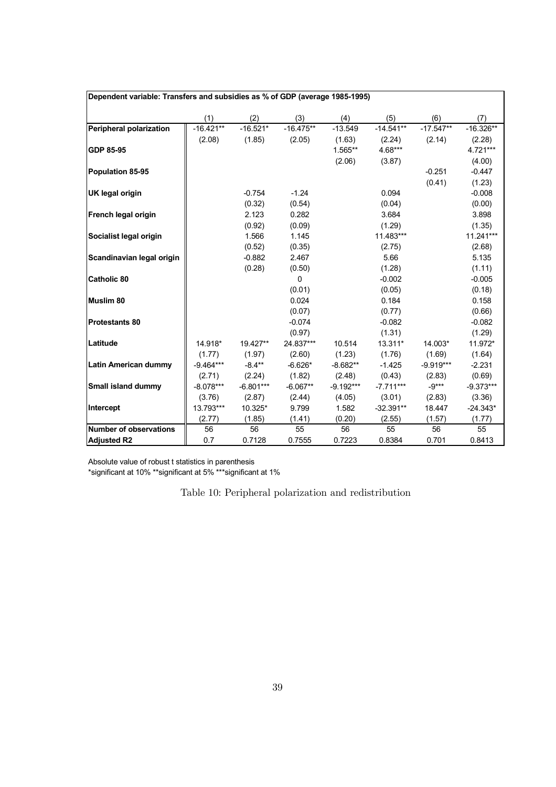| Dependent variable: Transfers and subsidies as % of GDP (average 1985-1995) |             |             |             |             |             |             |             |  |  |
|-----------------------------------------------------------------------------|-------------|-------------|-------------|-------------|-------------|-------------|-------------|--|--|
|                                                                             | (1)         | (2)         | (3)         | (4)         | (5)         | (6)         | (7)         |  |  |
| <b>Peripheral polarization</b>                                              | $-16.421**$ | $-16.521*$  | $-16.475**$ | $-13.549$   | $-14.541**$ | $-17.547**$ | $-16.326**$ |  |  |
|                                                                             | (2.08)      | (1.85)      | (2.05)      | (1.63)      | (2.24)      | (2.14)      | (2.28)      |  |  |
| GDP 85-95                                                                   |             |             |             | 1.565**     | 4.68***     |             | 4.721***    |  |  |
|                                                                             |             |             |             | (2.06)      | (3.87)      |             | (4.00)      |  |  |
| <b>Population 85-95</b>                                                     |             |             |             |             |             | $-0.251$    | $-0.447$    |  |  |
|                                                                             |             |             |             |             |             | (0.41)      | (1.23)      |  |  |
| <b>UK legal origin</b>                                                      |             | $-0.754$    | $-1.24$     |             | 0.094       |             | $-0.008$    |  |  |
|                                                                             |             | (0.32)      | (0.54)      |             | (0.04)      |             | (0.00)      |  |  |
| French legal origin                                                         |             | 2.123       | 0.282       |             | 3.684       |             | 3.898       |  |  |
|                                                                             |             | (0.92)      | (0.09)      |             | (1.29)      |             | (1.35)      |  |  |
| Socialist legal origin                                                      |             | 1.566       | 1.145       |             | 11.483***   |             | 11.241***   |  |  |
|                                                                             |             | (0.52)      | (0.35)      |             | (2.75)      |             | (2.68)      |  |  |
| Scandinavian legal origin                                                   |             | $-0.882$    | 2.467       |             | 5.66        |             | 5.135       |  |  |
|                                                                             |             | (0.28)      | (0.50)      |             | (1.28)      |             | (1.11)      |  |  |
| <b>Catholic 80</b>                                                          |             |             | 0           |             | $-0.002$    |             | $-0.005$    |  |  |
|                                                                             |             |             | (0.01)      |             | (0.05)      |             | (0.18)      |  |  |
| <b>Muslim 80</b>                                                            |             |             | 0.024       |             | 0.184       |             | 0.158       |  |  |
|                                                                             |             |             | (0.07)      |             | (0.77)      |             | (0.66)      |  |  |
| <b>Protestants 80</b>                                                       |             |             | $-0.074$    |             | $-0.082$    |             | $-0.082$    |  |  |
|                                                                             |             |             | (0.97)      |             | (1.31)      |             | (1.29)      |  |  |
| Latitude                                                                    | 14.918*     | 19.427**    | 24.837***   | 10.514      | 13.311*     | 14.003*     | 11.972*     |  |  |
|                                                                             | (1.77)      | (1.97)      | (2.60)      | (1.23)      | (1.76)      | (1.69)      | (1.64)      |  |  |
| <b>Latin American dummy</b>                                                 | $-9.464***$ | $-8.4**$    | $-6.626*$   | $-8.682**$  | $-1.425$    | $-9.919***$ | $-2.231$    |  |  |
|                                                                             | (2.71)      | (2.24)      | (1.82)      | (2.48)      | (0.43)      | (2.83)      | (0.69)      |  |  |
| Small island dummy                                                          | $-8.078***$ | $-6.801***$ | $-6.067**$  | $-9.192***$ | $-7.711***$ | $-9***$     | $-9.373***$ |  |  |
|                                                                             | (3.76)      | (2.87)      | (2.44)      | (4.05)      | (3.01)      | (2.83)      | (3.36)      |  |  |
| Intercept                                                                   | 13.793***   | 10.325*     | 9.799       | 1.582       | $-32.391**$ | 18.447      | $-24.343*$  |  |  |
|                                                                             | (2.77)      | (1.85)      | (1.41)      | (0.20)      | (2.55)      | (1.57)      | (1.77)      |  |  |
| <b>Number of observations</b>                                               | 56          | 56          | 55          | 56          | 55          | 56          | 55          |  |  |
| <b>Adjusted R2</b>                                                          | 0.7         | 0.7128      | 0.7555      | 0.7223      | 0.8384      | 0.701       | 0.8413      |  |  |

Absolute value of robust t statistics in parenthesis \*significant at 10% \*\*significant at 5% \*\*\*significant at 1%

Table 10: Peripheral polarization and redistribution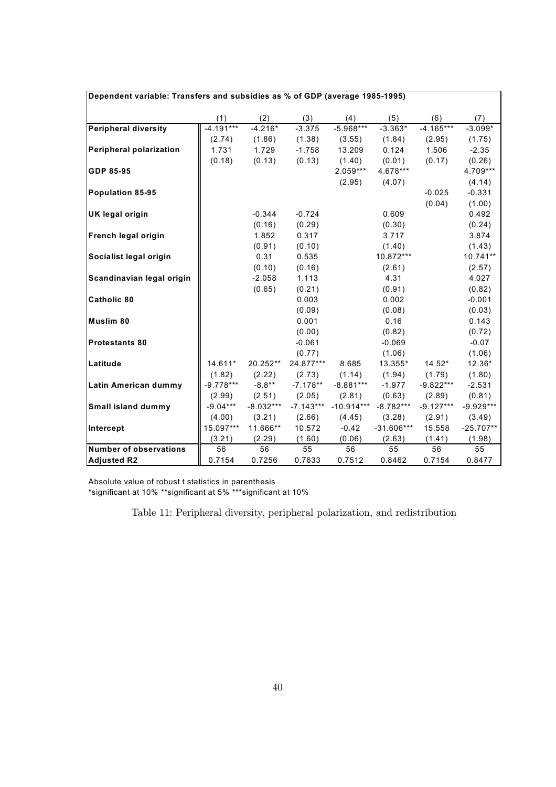| Dependent variable: Transfers and subsidies as % of GDP (average 1985-1995) |             |             |             |              |              |             |             |  |  |  |
|-----------------------------------------------------------------------------|-------------|-------------|-------------|--------------|--------------|-------------|-------------|--|--|--|
|                                                                             | (1)         | (2)         | (3)         | (4)          | (5)          | (6)         | (7)         |  |  |  |
| <b>Peripheral diversity</b>                                                 | $-4.191***$ | $-4.216*$   | $-3.375$    | $-5.968***$  | $-3.363*$    | $-4.165***$ | $-3.099*$   |  |  |  |
|                                                                             | (2.74)      | (1.86)      | (1.38)      | (3.55)       | (1.84)       | (2.95)      | (1.75)      |  |  |  |
| Peripheral polarization                                                     | 1.731       | 1.729       | $-1.758$    | 13.209       | 0.124        | 1.506       | $-2.35$     |  |  |  |
|                                                                             | (0.18)      | (0.13)      | (0.13)      | (1.40)       | (0.01)       | (0.17)      | (0.26)      |  |  |  |
| GDP 85-95                                                                   |             |             |             | $2.059***$   | 4.678***     |             | 4.709***    |  |  |  |
|                                                                             |             |             |             | (2.95)       | (4.07)       |             | (4.14)      |  |  |  |
| Population 85-95                                                            |             |             |             |              |              | $-0.025$    | $-0.331$    |  |  |  |
|                                                                             |             |             |             |              |              | (0.04)      | (1.00)      |  |  |  |
| <b>UK legal origin</b>                                                      |             | $-0.344$    | $-0.724$    |              | 0.609        |             | 0.492       |  |  |  |
|                                                                             |             | (0.16)      | (0.29)      |              | (0.30)       |             | (0.24)      |  |  |  |
| French legal origin                                                         |             | 1.852       | 0.317       |              | 3.717        |             | 3.874       |  |  |  |
|                                                                             |             | (0.91)      | (0.10)      |              | (1.40)       |             | (1.43)      |  |  |  |
| Socialist legal origin                                                      |             | 0.31        | 0.535       |              | 10.872***    |             | 10.741**    |  |  |  |
|                                                                             |             | (0.10)      | (0.16)      |              | (2.61)       |             | (2.57)      |  |  |  |
| Scandinavian legal origin                                                   |             | $-2.058$    | 1.113       |              | 4.31         |             | 4.027       |  |  |  |
|                                                                             |             | (0.65)      | (0.21)      |              | (0.91)       |             | (0.82)      |  |  |  |
| Catholic 80                                                                 |             |             | 0.003       |              | 0.002        |             | $-0.001$    |  |  |  |
|                                                                             |             |             | (0.09)      |              | (0.08)       |             | (0.03)      |  |  |  |
| Muslim 80                                                                   |             |             | 0.001       |              | 0.16         |             | 0.143       |  |  |  |
|                                                                             |             |             | (0.00)      |              | (0.82)       |             | (0.72)      |  |  |  |
| <b>Protestants 80</b>                                                       |             |             | $-0.061$    |              | $-0.069$     |             | $-0.07$     |  |  |  |
|                                                                             |             |             | (0.77)      |              | (1.06)       |             | (1.06)      |  |  |  |
| Latitude                                                                    | 14.611*     | 20.252**    | 24.877***   | 8.685        | 13.355*      | $14.52*$    | 12.36*      |  |  |  |
|                                                                             | (1.82)      | (2.22)      | (2.73)      | (1.14)       | (1.94)       | (1.79)      | (1.80)      |  |  |  |
| Latin American dummy                                                        | $-9.778***$ | $-8.8***$   | $-7.178**$  | $-8.881***$  | $-1.977$     | $-9.822***$ | $-2.531$    |  |  |  |
|                                                                             | (2.99)      | (2.51)      | (2.05)      | (2.81)       | (0.63)       | (2.89)      | (0.81)      |  |  |  |
| Small island dummy                                                          | $-9.04***$  | $-8.032***$ | $-7.143***$ | $-10.914***$ | $-8.782***$  | $-9.127***$ | $-9.929***$ |  |  |  |
|                                                                             | (4.00)      | (3.21)      | (2.66)      | (4.45)       | (3.28)       | (2.91)      | (3.49)      |  |  |  |
| Intercept                                                                   | 15.097***   | 11.666**    | 10.572      | $-0.42$      | $-31.606***$ | 15.558      | $-25.707**$ |  |  |  |
|                                                                             | (3.21)      | (2.29)      | (1.60)      | (0.06)       | (2.63)       | (1.41)      | (1.98)      |  |  |  |
| <b>Number of observations</b>                                               | 56          | 56          | 55          | 56           | 55           | 56          | 55          |  |  |  |
| <b>Adjusted R2</b>                                                          | 0.7154      | 0.7256      | 0.7633      | 0.7512       | 0.8462       | 0.7154      | 0.8477      |  |  |  |

\*significant at 10% \*\*significant at 5% \*\*\*significant at 10%

Table 11: Peripheral diversity, peripheral polarization, and redistribution